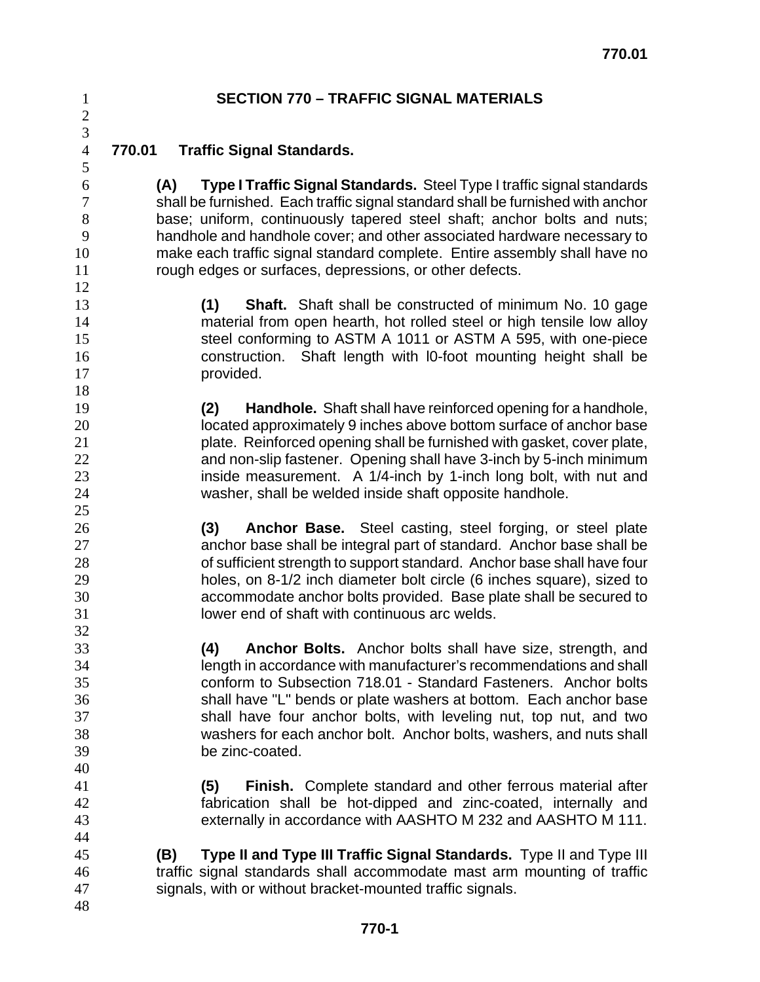### **SECTION 770 – TRAFFIC SIGNAL MATERIALS**

 

### **770.01 Traffic Signal Standards.**

**(A) Type I Traffic Signal Standards.** Steel Type I traffic signal standards shall be furnished. Each traffic signal standard shall be furnished with anchor base; uniform, continuously tapered steel shaft; anchor bolts and nuts; handhole and handhole cover; and other associated hardware necessary to make each traffic signal standard complete. Entire assembly shall have no rough edges or surfaces, depressions, or other defects.

**(1) Shaft.** Shaft shall be constructed of minimum No. 10 gage material from open hearth, hot rolled steel or high tensile low alloy steel conforming to ASTM A 1011 or ASTM A 595, with one-piece construction. Shaft length with l0-foot mounting height shall be **provided.** 

**(2) Handhole.** Shaft shall have reinforced opening for a handhole, located approximately 9 inches above bottom surface of anchor base plate. Reinforced opening shall be furnished with gasket, cover plate, and non-slip fastener. Opening shall have 3-inch by 5-inch minimum **inside measurement.** A 1/4-inch by 1-inch long bolt, with nut and washer, shall be welded inside shaft opposite handhole.

**(3) Anchor Base.** Steel casting, steel forging, or steel plate anchor base shall be integral part of standard. Anchor base shall be of sufficient strength to support standard. Anchor base shall have four holes, on 8-1/2 inch diameter bolt circle (6 inches square), sized to accommodate anchor bolts provided. Base plate shall be secured to lower end of shaft with continuous arc welds.

**(4) Anchor Bolts.** Anchor bolts shall have size, strength, and length in accordance with manufacturer's recommendations and shall conform to Subsection 718.01 - Standard Fasteners. Anchor bolts shall have "L" bends or plate washers at bottom. Each anchor base shall have four anchor bolts, with leveling nut, top nut, and two washers for each anchor bolt. Anchor bolts, washers, and nuts shall be zinc-coated.

**(5) Finish.** Complete standard and other ferrous material after fabrication shall be hot-dipped and zinc-coated, internally and externally in accordance with AASHTO M 232 and AASHTO M 111.

- **(B) Type II and Type III Traffic Signal Standards.** Type II and Type III traffic signal standards shall accommodate mast arm mounting of traffic signals, with or without bracket-mounted traffic signals.
-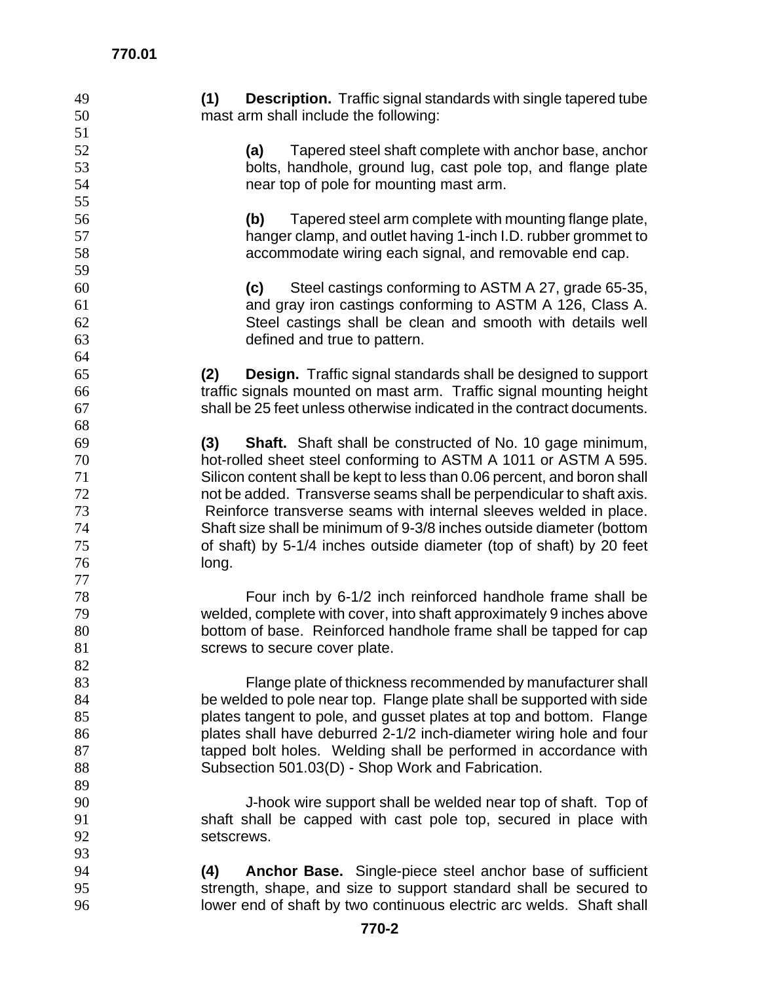| 49 | (1)<br><b>Description.</b> Traffic signal standards with single tapered tube |
|----|------------------------------------------------------------------------------|
|    |                                                                              |
| 50 | mast arm shall include the following:                                        |
| 51 |                                                                              |
| 52 | Tapered steel shaft complete with anchor base, anchor<br>(a)                 |
| 53 | bolts, handhole, ground lug, cast pole top, and flange plate                 |
| 54 | near top of pole for mounting mast arm.                                      |
| 55 |                                                                              |
| 56 | Tapered steel arm complete with mounting flange plate,<br>(b)                |
| 57 | hanger clamp, and outlet having 1-inch I.D. rubber grommet to                |
| 58 | accommodate wiring each signal, and removable end cap.                       |
| 59 |                                                                              |
| 60 | Steel castings conforming to ASTM A 27, grade 65-35,<br>(c)                  |
| 61 | and gray iron castings conforming to ASTM A 126, Class A.                    |
| 62 | Steel castings shall be clean and smooth with details well                   |
| 63 | defined and true to pattern.                                                 |
| 64 |                                                                              |
|    | <b>Design.</b> Traffic signal standards shall be designed to support         |
| 65 | (2)                                                                          |
| 66 | traffic signals mounted on mast arm. Traffic signal mounting height          |
| 67 | shall be 25 feet unless otherwise indicated in the contract documents.       |
| 68 |                                                                              |
| 69 | Shaft. Shaft shall be constructed of No. 10 gage minimum,<br>(3)             |
| 70 | hot-rolled sheet steel conforming to ASTM A 1011 or ASTM A 595.              |
| 71 | Silicon content shall be kept to less than 0.06 percent, and boron shall     |
| 72 | not be added. Transverse seams shall be perpendicular to shaft axis.         |
| 73 | Reinforce transverse seams with internal sleeves welded in place.            |
| 74 | Shaft size shall be minimum of 9-3/8 inches outside diameter (bottom         |
| 75 | of shaft) by 5-1/4 inches outside diameter (top of shaft) by 20 feet         |
| 76 | long.                                                                        |
| 77 |                                                                              |
| 78 | Four inch by 6-1/2 inch reinforced handhole frame shall be                   |
| 79 | welded, complete with cover, into shaft approximately 9 inches above         |
| 80 | bottom of base. Reinforced handhole frame shall be tapped for cap            |
| 81 | screws to secure cover plate.                                                |
| 82 |                                                                              |
| 83 | Flange plate of thickness recommended by manufacturer shall                  |
| 84 | be welded to pole near top. Flange plate shall be supported with side        |
| 85 | plates tangent to pole, and gusset plates at top and bottom. Flange          |
| 86 | plates shall have deburred 2-1/2 inch-diameter wiring hole and four          |
| 87 | tapped bolt holes. Welding shall be performed in accordance with             |
| 88 | Subsection 501.03(D) - Shop Work and Fabrication.                            |
| 89 |                                                                              |
| 90 | J-hook wire support shall be welded near top of shaft. Top of                |
| 91 | shaft shall be capped with cast pole top, secured in place with              |
| 92 | setscrews.                                                                   |
|    |                                                                              |
| 93 |                                                                              |
| 94 | Anchor Base. Single-piece steel anchor base of sufficient<br>(4)             |
| 95 | strength, shape, and size to support standard shall be secured to            |
| 96 | lower end of shaft by two continuous electric arc welds. Shaft shall         |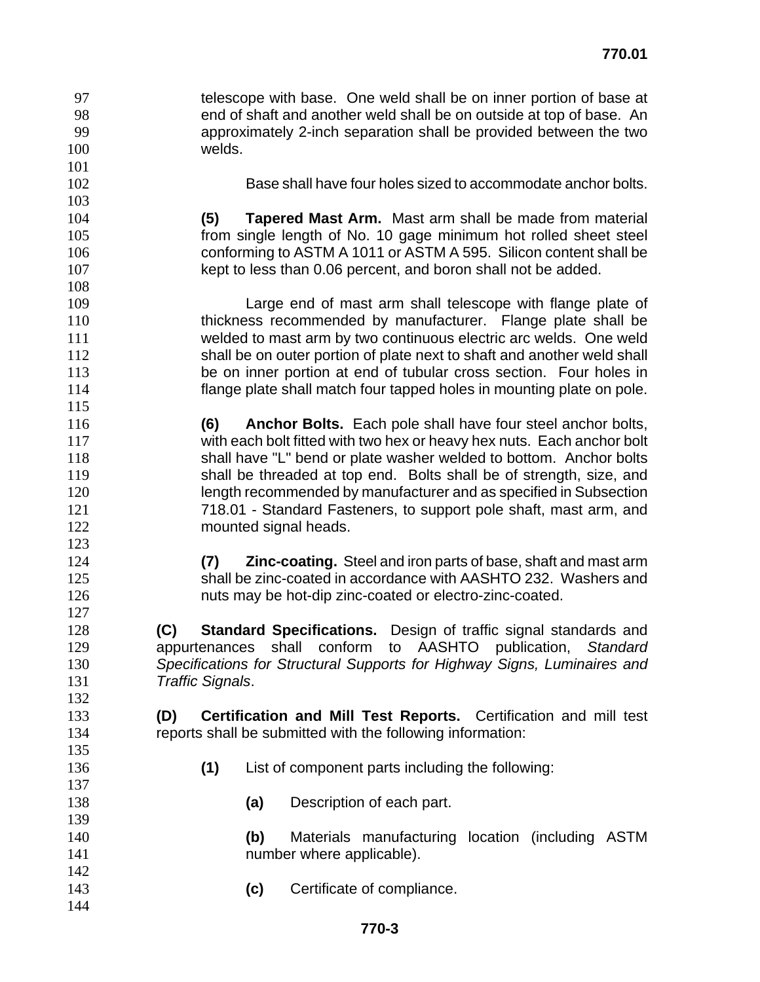- telescope with base. One weld shall be on inner portion of base at
- end of shaft and another weld shall be on outside at top of base. An
- approximately 2-inch separation shall be provided between the two

welds.

Base shall have four holes sized to accommodate anchor bolts.

**(5) Tapered Mast Arm.** Mast arm shall be made from material from single length of No. 10 gage minimum hot rolled sheet steel conforming to ASTM A 1011 or ASTM A 595. Silicon content shall be kept to less than 0.06 percent, and boron shall not be added.

- Large end of mast arm shall telescope with flange plate of thickness recommended by manufacturer. Flange plate shall be welded to mast arm by two continuous electric arc welds. One weld 112 shall be on outer portion of plate next to shaft and another weld shall be on inner portion at end of tubular cross section. Four holes in flange plate shall match four tapped holes in mounting plate on pole.
- **(6) Anchor Bolts.** Each pole shall have four steel anchor bolts, with each bolt fitted with two hex or heavy hex nuts. Each anchor bolt shall have "L" bend or plate washer welded to bottom. Anchor bolts shall be threaded at top end. Bolts shall be of strength, size, and length recommended by manufacturer and as specified in Subsection 718.01 - Standard Fasteners, to support pole shaft, mast arm, and **mounted signal heads.**
- **(7) Zinc-coating.** Steel and iron parts of base, shaft and mast arm shall be zinc-coated in accordance with AASHTO 232. Washers and nuts may be hot-dip zinc-coated or electro-zinc-coated.
- **(C) Standard Specifications.** Design of traffic signal standards and appurtenances shall conform to AASHTO publication, *Standard Specifications for Structural Supports for Highway Signs, Luminaires and Traffic Signals*.
- **(D) Certification and Mill Test Reports.** Certification and mill test reports shall be submitted with the following information:
- **(1)** List of component parts including the following:
- **(a)** Description of each part.
- **(b)** Materials manufacturing location (including ASTM **number where applicable**).
- **(c)** Certificate of compliance.
	- **770-3**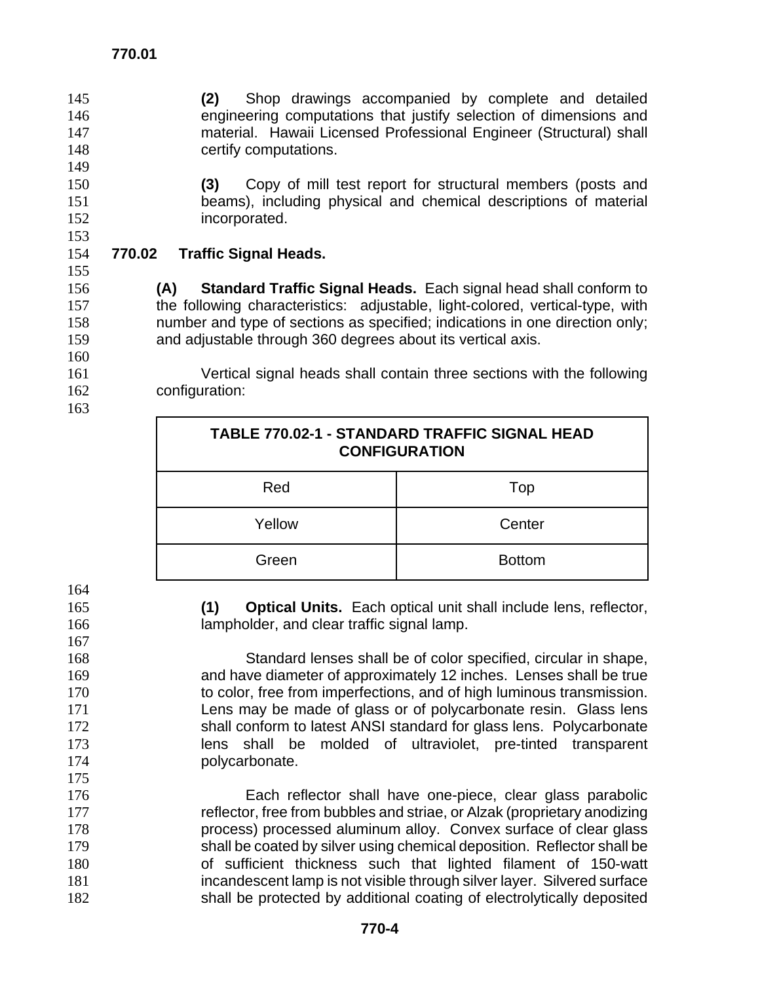**770.01** 

**(2)** Shop drawings accompanied by complete and detailed engineering computations that justify selection of dimensions and material. Hawaii Licensed Professional Engineer (Structural) shall certify computations.

**(3)** Copy of mill test report for structural members (posts and beams), including physical and chemical descriptions of material incorporated.

**770.02 Traffic Signal Heads.**

**(A) Standard Traffic Signal Heads.** Each signal head shall conform to the following characteristics: adjustable, light-colored, vertical-type, with number and type of sections as specified; indications in one direction only; and adjustable through 360 degrees about its vertical axis.

Vertical signal heads shall contain three sections with the following configuration: 

| <b>TABLE 770.02-1 - STANDARD TRAFFIC SIGNAL HEAD</b><br><b>CONFIGURATION</b> |               |  |
|------------------------------------------------------------------------------|---------------|--|
| Red                                                                          | Top           |  |
| Yellow                                                                       | Center        |  |
| Green                                                                        | <b>Bottom</b> |  |

**(1) Optical Units.** Each optical unit shall include lens, reflector, lampholder, and clear traffic signal lamp.

Standard lenses shall be of color specified, circular in shape, and have diameter of approximately 12 inches. Lenses shall be true 170 to color, free from imperfections, and of high luminous transmission. Lens may be made of glass or of polycarbonate resin. Glass lens shall conform to latest ANSI standard for glass lens. Polycarbonate lens shall be molded of ultraviolet, pre-tinted transparent 174 polycarbonate.

Each reflector shall have one-piece, clear glass parabolic 177 reflector, free from bubbles and striae, or Alzak (proprietary anodizing process) processed aluminum alloy. Convex surface of clear glass shall be coated by silver using chemical deposition. Reflector shall be of sufficient thickness such that lighted filament of 150-watt incandescent lamp is not visible through silver layer. Silvered surface 182 shall be protected by additional coating of electrolytically deposited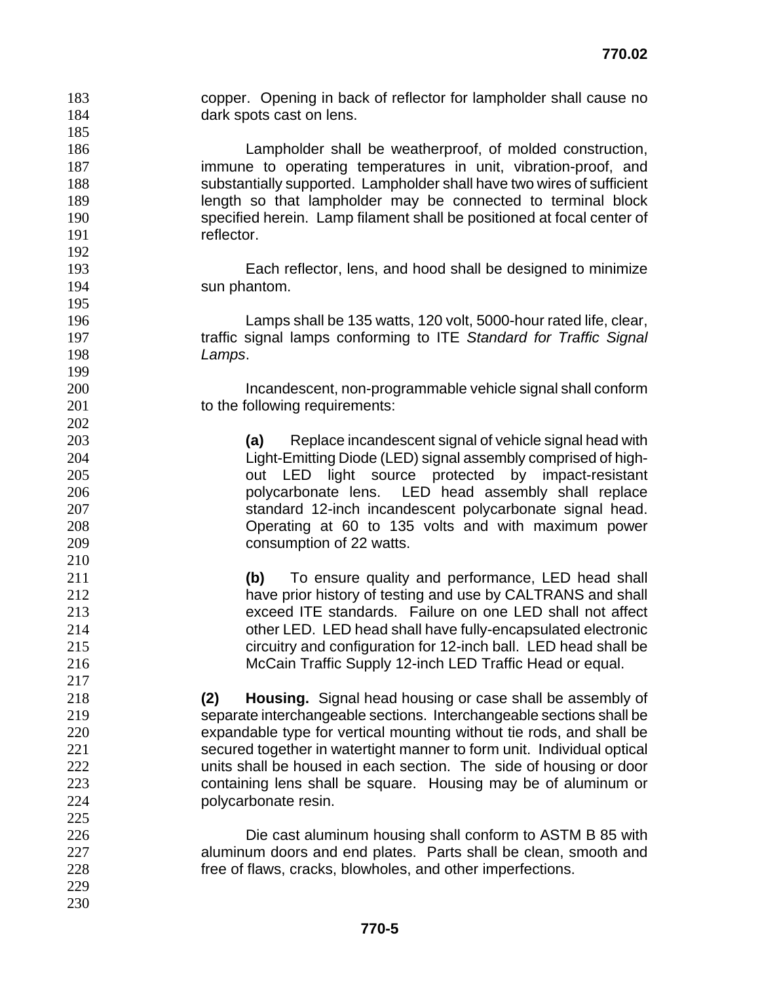copper. Opening in back of reflector for lampholder shall cause no 184 dark spots cast on lens. Lampholder shall be weatherproof, of molded construction, **immune to operating temperatures in unit, vibration-proof, and** substantially supported. Lampholder shall have two wires of sufficient length so that lampholder may be connected to terminal block specified herein. Lamp filament shall be positioned at focal center of 191 reflector. Each reflector, lens, and hood shall be designed to minimize sun phantom. Lamps shall be 135 watts, 120 volt, 5000-hour rated life, clear, traffic signal lamps conforming to ITE *Standard for Traffic Signal Lamps*. Incandescent, non-programmable vehicle signal shall conform 201 to the following requirements: **(a)** Replace incandescent signal of vehicle signal head with Light-Emitting Diode (LED) signal assembly comprised of high-out LED light source protected by impact-resistant **polycarbonate lens.** LED head assembly shall replace standard 12-inch incandescent polycarbonate signal head. Operating at 60 to 135 volts and with maximum power consumption of 22 watts. **(b)** To ensure quality and performance, LED head shall have prior history of testing and use by CALTRANS and shall exceed ITE standards. Failure on one LED shall not affect other LED. LED head shall have fully-encapsulated electronic circuitry and configuration for 12-inch ball. LED head shall be McCain Traffic Supply 12-inch LED Traffic Head or equal. **(2) Housing.** Signal head housing or case shall be assembly of separate interchangeable sections. Interchangeable sections shall be expandable type for vertical mounting without tie rods, and shall be secured together in watertight manner to form unit. Individual optical units shall be housed in each section. The side of housing or door containing lens shall be square. Housing may be of aluminum or polycarbonate resin. Die cast aluminum housing shall conform to ASTM B 85 with aluminum doors and end plates. Parts shall be clean, smooth and free of flaws, cracks, blowholes, and other imperfections.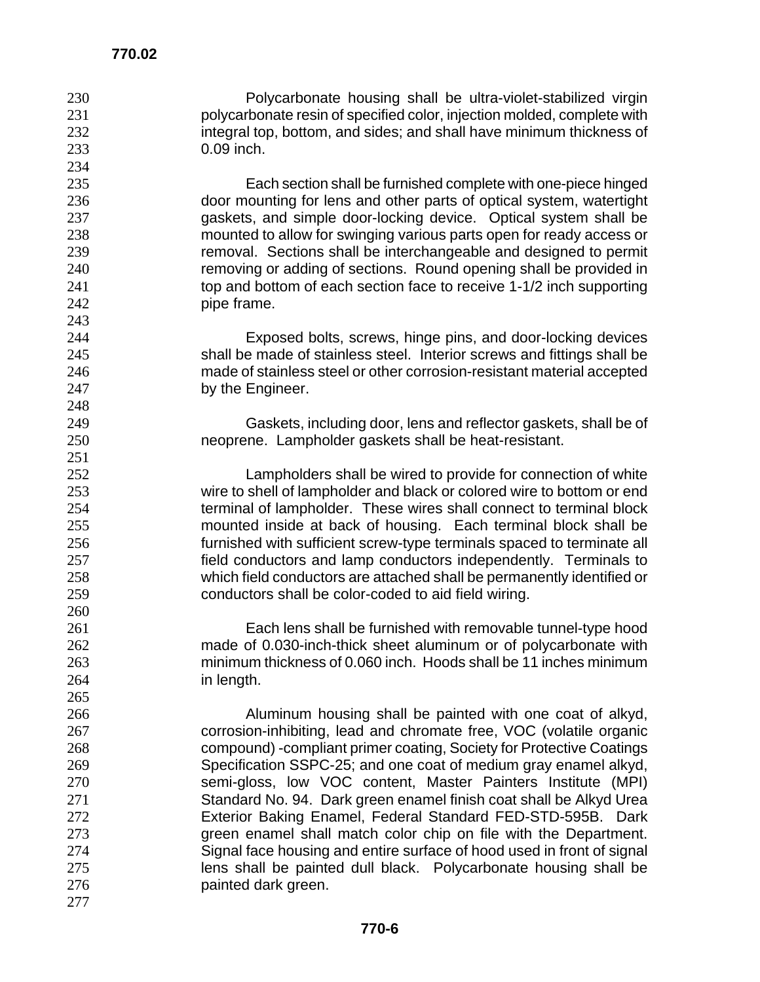Polycarbonate housing shall be ultra-violet-stabilized virgin polycarbonate resin of specified color, injection molded, complete with 232 integral top, bottom, and sides; and shall have minimum thickness of 0.09 inch.

Each section shall be furnished complete with one-piece hinged door mounting for lens and other parts of optical system, watertight gaskets, and simple door-locking device. Optical system shall be mounted to allow for swinging various parts open for ready access or removal. Sections shall be interchangeable and designed to permit removing or adding of sections. Round opening shall be provided in 241 top and bottom of each section face to receive 1-1/2 inch supporting pipe frame.

Exposed bolts, screws, hinge pins, and door-locking devices shall be made of stainless steel. Interior screws and fittings shall be made of stainless steel or other corrosion-resistant material accepted 247 by the Engineer.

Gaskets, including door, lens and reflector gaskets, shall be of neoprene. Lampholder gaskets shall be heat-resistant.

Lampholders shall be wired to provide for connection of white wire to shell of lampholder and black or colored wire to bottom or end terminal of lampholder. These wires shall connect to terminal block mounted inside at back of housing. Each terminal block shall be furnished with sufficient screw-type terminals spaced to terminate all field conductors and lamp conductors independently. Terminals to which field conductors are attached shall be permanently identified or conductors shall be color-coded to aid field wiring.

Each lens shall be furnished with removable tunnel-type hood made of 0.030-inch-thick sheet aluminum or of polycarbonate with minimum thickness of 0.060 inch. Hoods shall be 11 inches minimum in length.

Aluminum housing shall be painted with one coat of alkyd, corrosion-inhibiting, lead and chromate free, VOC (volatile organic compound) -compliant primer coating, Society for Protective Coatings Specification SSPC-25; and one coat of medium gray enamel alkyd, 270 semi-gloss, low VOC content, Master Painters Institute (MPI)<br>271 Standard No. 94. Dark green enamel finish coat shall be Alkyd Urea Standard No. 94. Dark green enamel finish coat shall be Alkyd Urea Exterior Baking Enamel, Federal Standard FED-STD-595B. Dark green enamel shall match color chip on file with the Department. Signal face housing and entire surface of hood used in front of signal lens shall be painted dull black. Polycarbonate housing shall be painted dark green.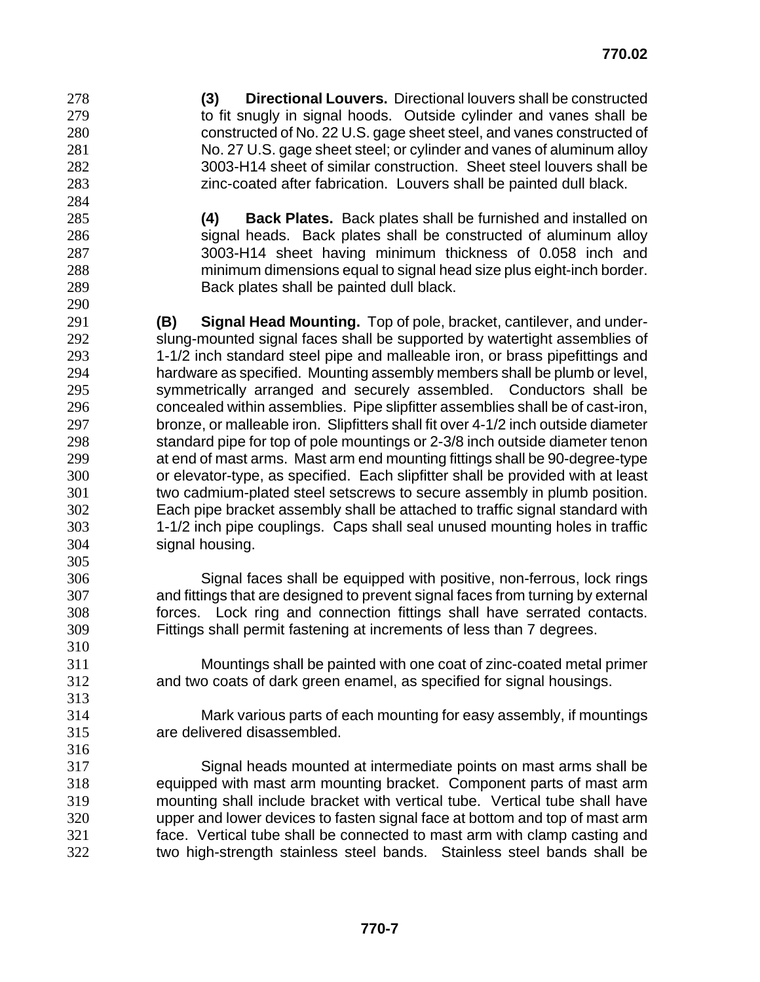**(3) Directional Louvers.** Directional louvers shall be constructed 279 to fit snugly in signal hoods. Outside cylinder and vanes shall be constructed of No. 22 U.S. gage sheet steel, and vanes constructed of No. 27 U.S. gage sheet steel; or cylinder and vanes of aluminum alloy 3003-H14 sheet of similar construction. Sheet steel louvers shall be zinc-coated after fabrication. Louvers shall be painted dull black.

- **(4) Back Plates.** Back plates shall be furnished and installed on signal heads. Back plates shall be constructed of aluminum alloy 3003-H14 sheet having minimum thickness of 0.058 inch and minimum dimensions equal to signal head size plus eight-inch border. Back plates shall be painted dull black.
- 

**(B) Signal Head Mounting.** Top of pole, bracket, cantilever, and under-slung-mounted signal faces shall be supported by watertight assemblies of 1-1/2 inch standard steel pipe and malleable iron, or brass pipefittings and hardware as specified. Mounting assembly members shall be plumb or level, symmetrically arranged and securely assembled. Conductors shall be concealed within assemblies. Pipe slipfitter assemblies shall be of cast-iron, bronze, or malleable iron. Slipfitters shall fit over 4-1/2 inch outside diameter standard pipe for top of pole mountings or 2-3/8 inch outside diameter tenon at end of mast arms. Mast arm end mounting fittings shall be 90-degree-type or elevator-type, as specified. Each slipfitter shall be provided with at least two cadmium-plated steel setscrews to secure assembly in plumb position. Each pipe bracket assembly shall be attached to traffic signal standard with 1-1/2 inch pipe couplings. Caps shall seal unused mounting holes in traffic signal housing. 

Signal faces shall be equipped with positive, non-ferrous, lock rings and fittings that are designed to prevent signal faces from turning by external forces. Lock ring and connection fittings shall have serrated contacts. Fittings shall permit fastening at increments of less than 7 degrees.

- Mountings shall be painted with one coat of zinc-coated metal primer and two coats of dark green enamel, as specified for signal housings.
- Mark various parts of each mounting for easy assembly, if mountings are delivered disassembled.

Signal heads mounted at intermediate points on mast arms shall be equipped with mast arm mounting bracket. Component parts of mast arm mounting shall include bracket with vertical tube. Vertical tube shall have upper and lower devices to fasten signal face at bottom and top of mast arm face. Vertical tube shall be connected to mast arm with clamp casting and two high-strength stainless steel bands. Stainless steel bands shall be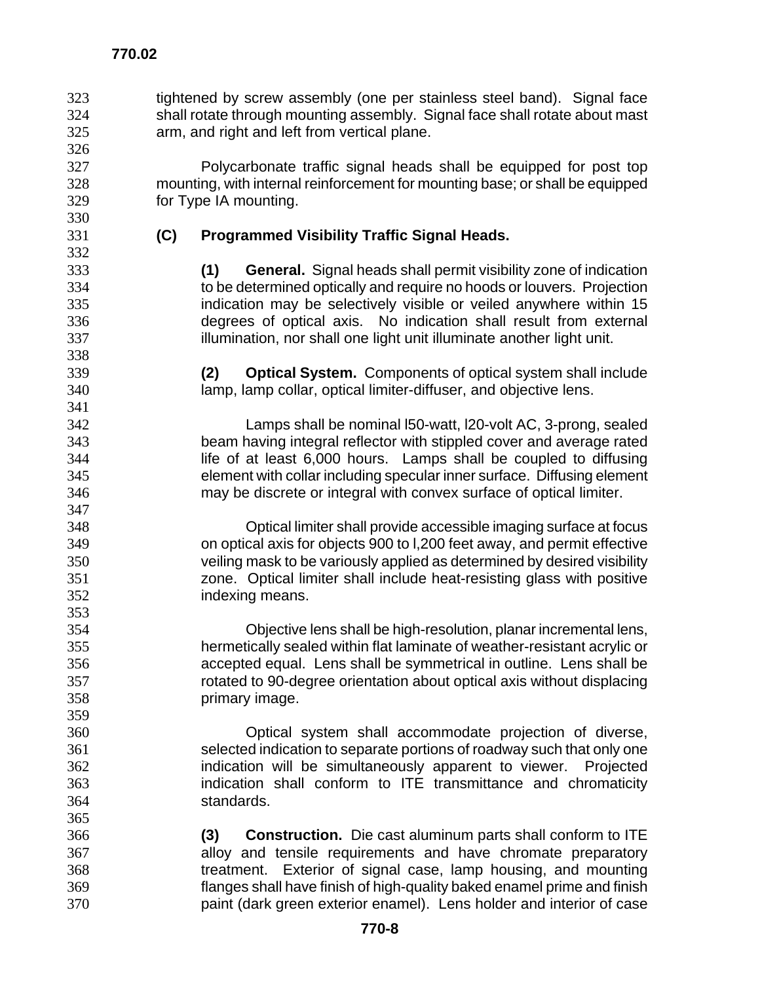tightened by screw assembly (one per stainless steel band). Signal face shall rotate through mounting assembly. Signal face shall rotate about mast arm, and right and left from vertical plane.

Polycarbonate traffic signal heads shall be equipped for post top mounting, with internal reinforcement for mounting base; or shall be equipped for Type IA mounting.

 

#### **(C) Programmed Visibility Traffic Signal Heads.**

**(1) General.** Signal heads shall permit visibility zone of indication to be determined optically and require no hoods or louvers. Projection indication may be selectively visible or veiled anywhere within 15 degrees of optical axis. No indication shall result from external illumination, nor shall one light unit illuminate another light unit.

**(2) Optical System.** Components of optical system shall include lamp, lamp collar, optical limiter-diffuser, and objective lens.

Lamps shall be nominal l50-watt, l20-volt AC, 3-prong, sealed beam having integral reflector with stippled cover and average rated life of at least 6,000 hours. Lamps shall be coupled to diffusing element with collar including specular inner surface. Diffusing element may be discrete or integral with convex surface of optical limiter.

Optical limiter shall provide accessible imaging surface at focus on optical axis for objects 900 to l,200 feet away, and permit effective veiling mask to be variously applied as determined by desired visibility zone. Optical limiter shall include heat-resisting glass with positive indexing means.

Objective lens shall be high-resolution, planar incremental lens, hermetically sealed within flat laminate of weather-resistant acrylic or accepted equal. Lens shall be symmetrical in outline. Lens shall be rotated to 90-degree orientation about optical axis without displacing primary image.

Optical system shall accommodate projection of diverse, selected indication to separate portions of roadway such that only one indication will be simultaneously apparent to viewer. Projected indication shall conform to ITE transmittance and chromaticity standards.

**(3) Construction.** Die cast aluminum parts shall conform to ITE alloy and tensile requirements and have chromate preparatory treatment. Exterior of signal case, lamp housing, and mounting flanges shall have finish of high-quality baked enamel prime and finish paint (dark green exterior enamel). Lens holder and interior of case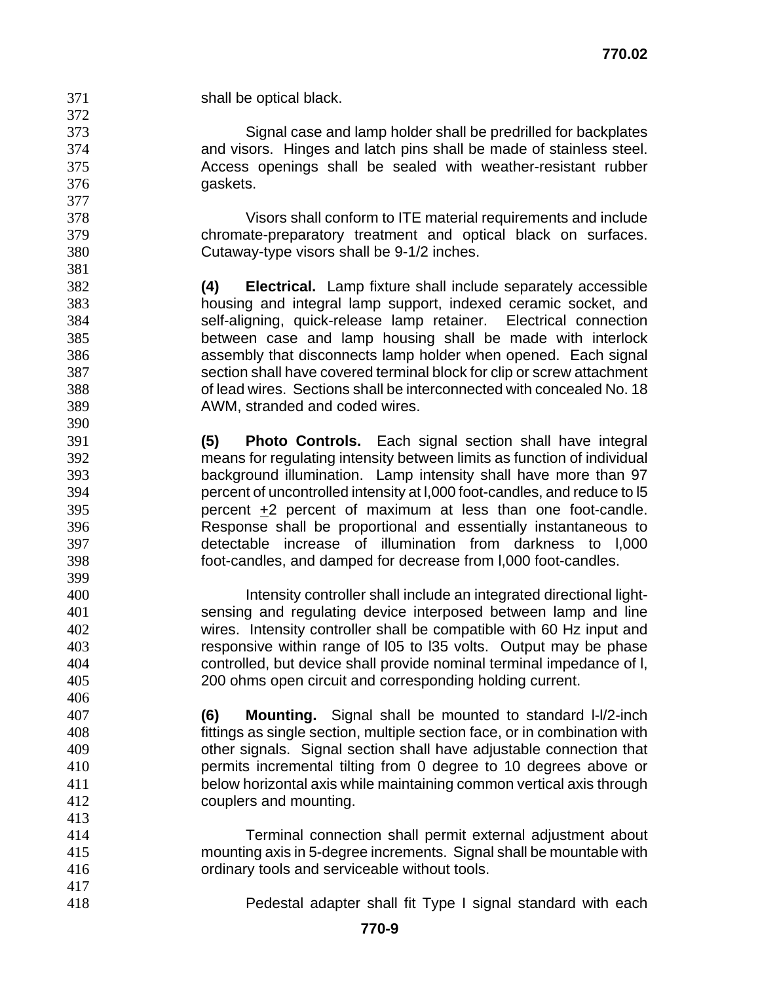| 371 | shall be optical black.                                                    |
|-----|----------------------------------------------------------------------------|
| 372 |                                                                            |
| 373 | Signal case and lamp holder shall be predrilled for backplates             |
| 374 | and visors. Hinges and latch pins shall be made of stainless steel.        |
| 375 | Access openings shall be sealed with weather-resistant rubber              |
| 376 | gaskets.                                                                   |
| 377 |                                                                            |
| 378 | Visors shall conform to ITE material requirements and include              |
| 379 | chromate-preparatory treatment and optical black on surfaces.              |
| 380 | Cutaway-type visors shall be 9-1/2 inches.                                 |
| 381 |                                                                            |
| 382 | <b>Electrical.</b> Lamp fixture shall include separately accessible<br>(4) |
| 383 | housing and integral lamp support, indexed ceramic socket, and             |
| 384 | self-aligning, quick-release lamp retainer. Electrical connection          |
| 385 | between case and lamp housing shall be made with interlock                 |
| 386 | assembly that disconnects lamp holder when opened. Each signal             |
| 387 | section shall have covered terminal block for clip or screw attachment     |
| 388 | of lead wires. Sections shall be interconnected with concealed No. 18      |
| 389 | AWM, stranded and coded wires.                                             |
| 390 |                                                                            |
| 391 | (5)<br><b>Photo Controls.</b> Each signal section shall have integral      |
| 392 | means for regulating intensity between limits as function of individual    |
| 393 | background illumination. Lamp intensity shall have more than 97            |
| 394 | percent of uncontrolled intensity at I,000 foot-candles, and reduce to I5  |
| 395 | percent $\pm 2$ percent of maximum at less than one foot-candle.           |
| 396 | Response shall be proportional and essentially instantaneous to            |
| 397 | detectable increase of illumination from darkness to 1,000                 |
| 398 | foot-candles, and damped for decrease from 1,000 foot-candles.             |
| 399 |                                                                            |
| 400 | Intensity controller shall include an integrated directional light-        |
| 401 | sensing and regulating device interposed between lamp and line             |
| 402 | wires. Intensity controller shall be compatible with 60 Hz input and       |
| 403 | responsive within range of 105 to 135 volts. Output may be phase           |
| 404 | controlled, but device shall provide nominal terminal impedance of I,      |
| 405 | 200 ohms open circuit and corresponding holding current.                   |
| 406 |                                                                            |
| 407 | (6)<br>Mounting. Signal shall be mounted to standard I-I/2-inch            |
| 408 | fittings as single section, multiple section face, or in combination with  |
| 409 | other signals. Signal section shall have adjustable connection that        |
| 410 | permits incremental tilting from 0 degree to 10 degrees above or           |
| 411 | below horizontal axis while maintaining common vertical axis through       |
| 412 | couplers and mounting.                                                     |
| 413 |                                                                            |
| 414 | Terminal connection shall permit external adjustment about                 |
| 415 | mounting axis in 5-degree increments. Signal shall be mountable with       |
| 416 | ordinary tools and serviceable without tools.                              |
| 417 |                                                                            |
| 418 | Pedestal adapter shall fit Type I signal standard with each                |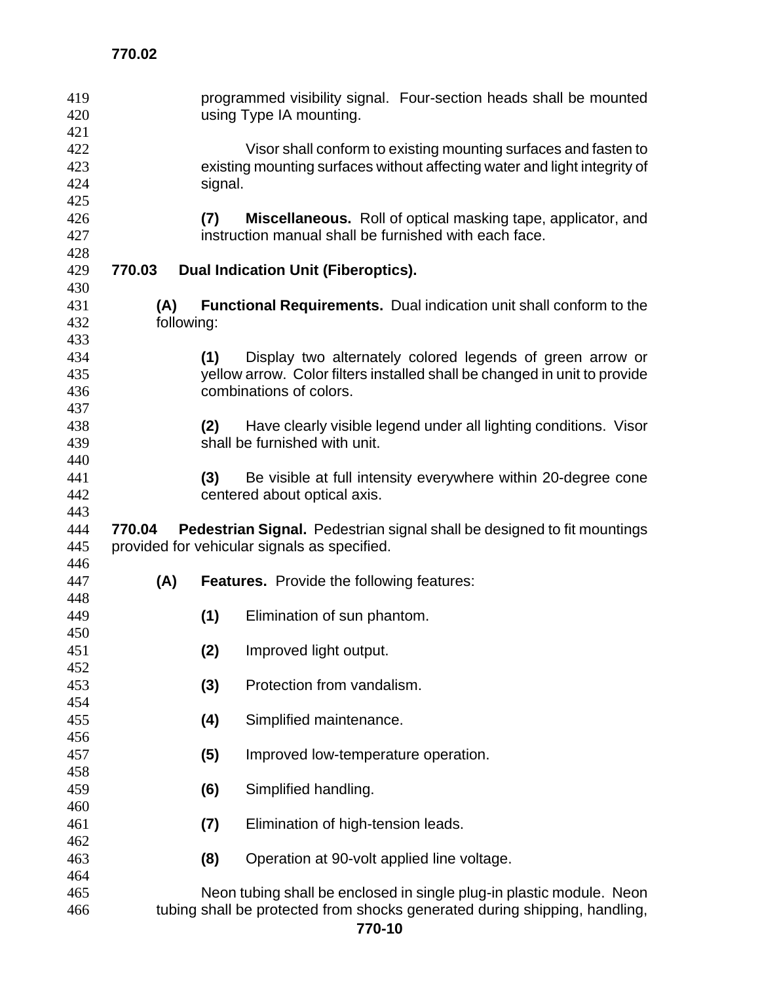| programmed visibility signal. Four-section heads shall be mounted<br>using Type IA mounting. |  |  |  |
|----------------------------------------------------------------------------------------------|--|--|--|
| 422<br>Visor shall conform to existing mounting surfaces and fasten to                       |  |  |  |
|                                                                                              |  |  |  |
| existing mounting surfaces without affecting water and light integrity of                    |  |  |  |
| signal.                                                                                      |  |  |  |
|                                                                                              |  |  |  |
| Miscellaneous. Roll of optical masking tape, applicator, and                                 |  |  |  |
|                                                                                              |  |  |  |
|                                                                                              |  |  |  |
|                                                                                              |  |  |  |
|                                                                                              |  |  |  |
| <b>Functional Requirements.</b> Dual indication unit shall conform to the                    |  |  |  |
|                                                                                              |  |  |  |
|                                                                                              |  |  |  |
| Display two alternately colored legends of green arrow or                                    |  |  |  |
| yellow arrow. Color filters installed shall be changed in unit to provide                    |  |  |  |
|                                                                                              |  |  |  |
|                                                                                              |  |  |  |
|                                                                                              |  |  |  |
| Have clearly visible legend under all lighting conditions. Visor                             |  |  |  |
|                                                                                              |  |  |  |
|                                                                                              |  |  |  |
|                                                                                              |  |  |  |
| Be visible at full intensity everywhere within 20-degree cone                                |  |  |  |
|                                                                                              |  |  |  |
|                                                                                              |  |  |  |
| Pedestrian Signal. Pedestrian signal shall be designed to fit mountings                      |  |  |  |
|                                                                                              |  |  |  |
|                                                                                              |  |  |  |
|                                                                                              |  |  |  |
|                                                                                              |  |  |  |
|                                                                                              |  |  |  |
|                                                                                              |  |  |  |
|                                                                                              |  |  |  |
|                                                                                              |  |  |  |
|                                                                                              |  |  |  |
|                                                                                              |  |  |  |
|                                                                                              |  |  |  |
|                                                                                              |  |  |  |
|                                                                                              |  |  |  |
|                                                                                              |  |  |  |
|                                                                                              |  |  |  |
|                                                                                              |  |  |  |
|                                                                                              |  |  |  |
|                                                                                              |  |  |  |
|                                                                                              |  |  |  |
|                                                                                              |  |  |  |
|                                                                                              |  |  |  |
| Neon tubing shall be enclosed in single plug-in plastic module. Neon                         |  |  |  |
|                                                                                              |  |  |  |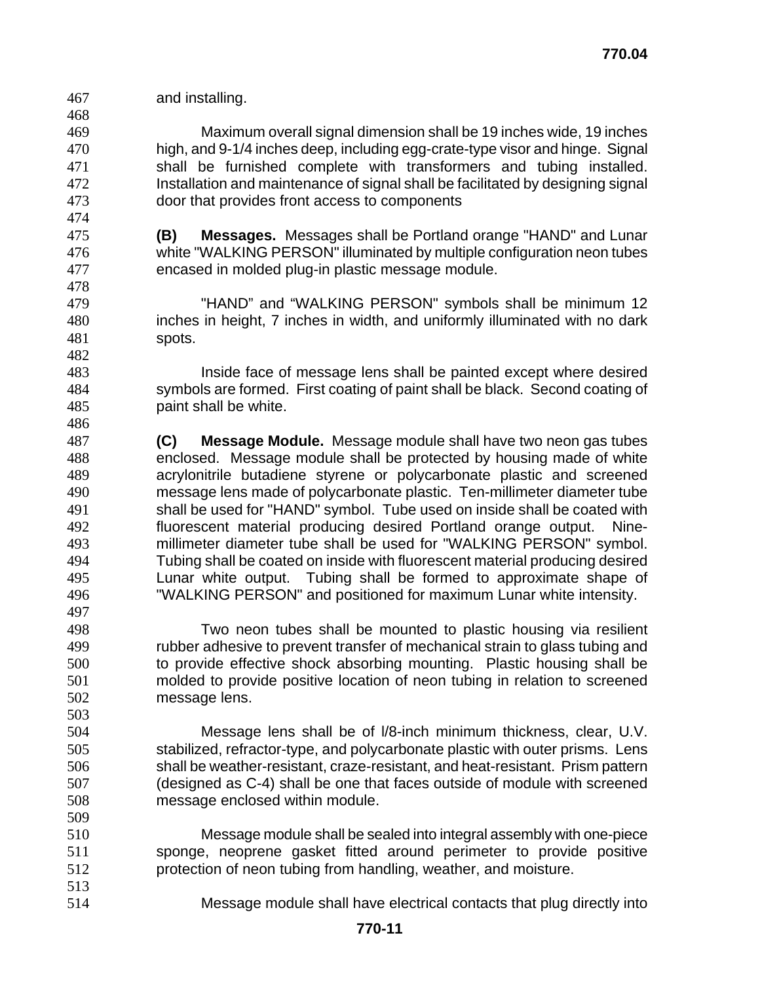and installing. 

Maximum overall signal dimension shall be 19 inches wide, 19 inches high, and 9-1/4 inches deep, including egg-crate-type visor and hinge. Signal shall be furnished complete with transformers and tubing installed. Installation and maintenance of signal shall be facilitated by designing signal door that provides front access to components

**(B) Messages.** Messages shall be Portland orange "HAND" and Lunar white "WALKING PERSON" illuminated by multiple configuration neon tubes encased in molded plug-in plastic message module.

"HAND" and "WALKING PERSON" symbols shall be minimum 12 inches in height, 7 inches in width, and uniformly illuminated with no dark spots.

Inside face of message lens shall be painted except where desired symbols are formed. First coating of paint shall be black. Second coating of paint shall be white.

**(C) Message Module.** Message module shall have two neon gas tubes enclosed. Message module shall be protected by housing made of white acrylonitrile butadiene styrene or polycarbonate plastic and screened message lens made of polycarbonate plastic. Ten-millimeter diameter tube shall be used for "HAND" symbol. Tube used on inside shall be coated with fluorescent material producing desired Portland orange output. Nine-millimeter diameter tube shall be used for "WALKING PERSON" symbol. Tubing shall be coated on inside with fluorescent material producing desired Lunar white output. Tubing shall be formed to approximate shape of "WALKING PERSON" and positioned for maximum Lunar white intensity.

Two neon tubes shall be mounted to plastic housing via resilient rubber adhesive to prevent transfer of mechanical strain to glass tubing and to provide effective shock absorbing mounting. Plastic housing shall be molded to provide positive location of neon tubing in relation to screened message lens. 

- Message lens shall be of l/8-inch minimum thickness, clear, U.V. stabilized, refractor-type, and polycarbonate plastic with outer prisms. Lens shall be weather-resistant, craze-resistant, and heat-resistant. Prism pattern (designed as C-4) shall be one that faces outside of module with screened message enclosed within module.
- Message module shall be sealed into integral assembly with one-piece sponge, neoprene gasket fitted around perimeter to provide positive protection of neon tubing from handling, weather, and moisture.
- Message module shall have electrical contacts that plug directly into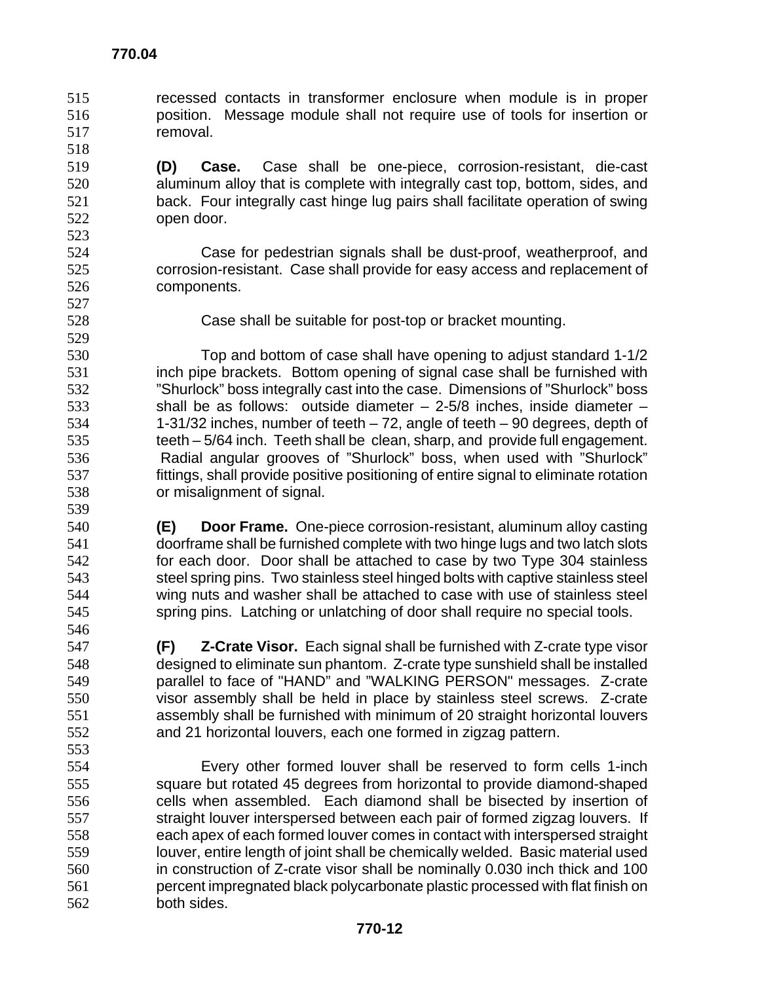- recessed contacts in transformer enclosure when module is in proper position. Message module shall not require use of tools for insertion or removal.
- **(D) Case.** Case shall be one-piece, corrosion-resistant, die-cast aluminum alloy that is complete with integrally cast top, bottom, sides, and back. Four integrally cast hinge lug pairs shall facilitate operation of swing open door.
- Case for pedestrian signals shall be dust-proof, weatherproof, and corrosion-resistant. Case shall provide for easy access and replacement of components.
- 

Case shall be suitable for post-top or bracket mounting.

Top and bottom of case shall have opening to adjust standard 1-1/2 inch pipe brackets. Bottom opening of signal case shall be furnished with "Shurlock" boss integrally cast into the case. Dimensions of "Shurlock" boss shall be as follows: outside diameter – 2-5/8 inches, inside diameter – 1-31/32 inches, number of teeth – 72, angle of teeth – 90 degrees, depth of teeth – 5/64 inch. Teeth shall be clean, sharp, and provide full engagement. Radial angular grooves of "Shurlock" boss, when used with "Shurlock" fittings, shall provide positive positioning of entire signal to eliminate rotation or misalignment of signal.

- **(E) Door Frame.** One-piece corrosion-resistant, aluminum alloy casting doorframe shall be furnished complete with two hinge lugs and two latch slots for each door. Door shall be attached to case by two Type 304 stainless steel spring pins. Two stainless steel hinged bolts with captive stainless steel wing nuts and washer shall be attached to case with use of stainless steel spring pins. Latching or unlatching of door shall require no special tools.
- **(F) Z-Crate Visor.** Each signal shall be furnished with Z-crate type visor designed to eliminate sun phantom. Z-crate type sunshield shall be installed parallel to face of "HAND" and "WALKING PERSON" messages. Z-crate visor assembly shall be held in place by stainless steel screws. Z-crate assembly shall be furnished with minimum of 20 straight horizontal louvers and 21 horizontal louvers, each one formed in zigzag pattern.
- Every other formed louver shall be reserved to form cells 1-inch square but rotated 45 degrees from horizontal to provide diamond-shaped cells when assembled. Each diamond shall be bisected by insertion of 557 straight louver interspersed between each pair of formed zigzag louvers. If each apex of each formed louver comes in contact with interspersed straight louver, entire length of joint shall be chemically welded. Basic material used in construction of Z-crate visor shall be nominally 0.030 inch thick and 100 percent impregnated black polycarbonate plastic processed with flat finish on both sides.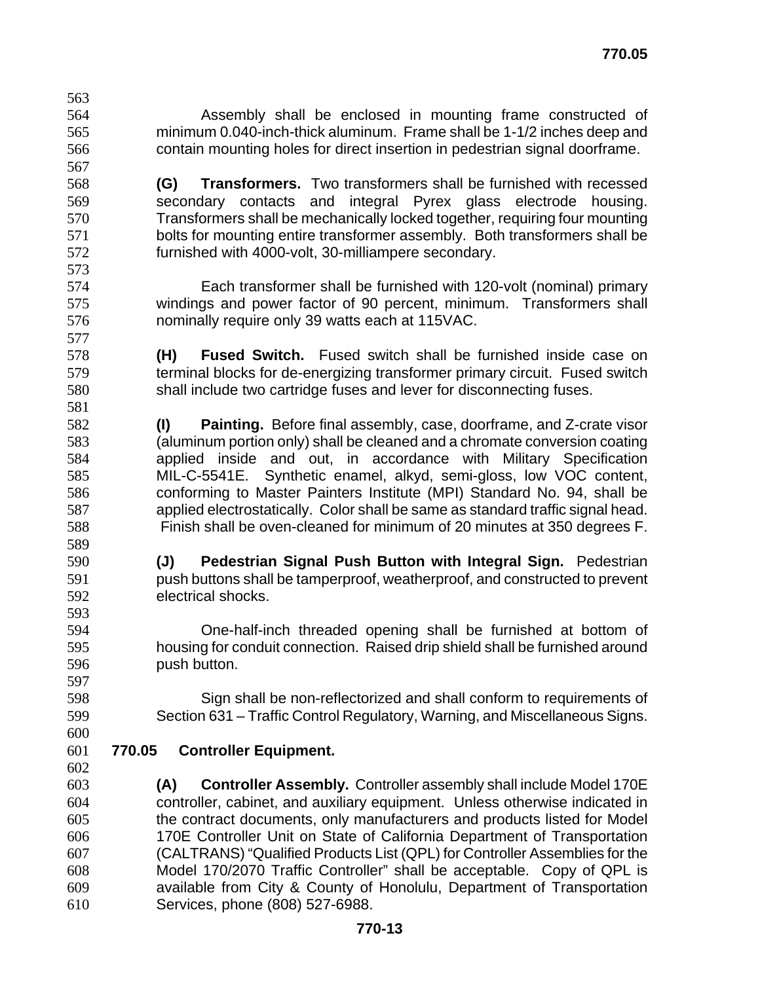- Assembly shall be enclosed in mounting frame constructed of minimum 0.040-inch-thick aluminum. Frame shall be 1-1/2 inches deep and contain mounting holes for direct insertion in pedestrian signal doorframe. **(G) Transformers.** Two transformers shall be furnished with recessed secondary contacts and integral Pyrex glass electrode housing. Transformers shall be mechanically locked together, requiring four mounting bolts for mounting entire transformer assembly. Both transformers shall be furnished with 4000-volt, 30-milliampere secondary. Each transformer shall be furnished with 120-volt (nominal) primary windings and power factor of 90 percent, minimum. Transformers shall nominally require only 39 watts each at 115VAC. **(H) Fused Switch.** Fused switch shall be furnished inside case on terminal blocks for de-energizing transformer primary circuit. Fused switch shall include two cartridge fuses and lever for disconnecting fuses. **(I) Painting.** Before final assembly, case, doorframe, and Z-crate visor (aluminum portion only) shall be cleaned and a chromate conversion coating applied inside and out, in accordance with Military Specification MIL-C-5541E. Synthetic enamel, alkyd, semi-gloss, low VOC content, conforming to Master Painters Institute (MPI) Standard No. 94, shall be applied electrostatically. Color shall be same as standard traffic signal head. Finish shall be oven-cleaned for minimum of 20 minutes at 350 degrees F. **(J) Pedestrian Signal Push Button with Integral Sign.** Pedestrian push buttons shall be tamperproof, weatherproof, and constructed to prevent electrical shocks. One-half-inch threaded opening shall be furnished at bottom of housing for conduit connection. Raised drip shield shall be furnished around push button. Sign shall be non-reflectorized and shall conform to requirements of Section 631 – Traffic Control Regulatory, Warning, and Miscellaneous Signs. **770.05 Controller Equipment. (A) Controller Assembly.** Controller assembly shall include Model 170E controller, cabinet, and auxiliary equipment. Unless otherwise indicated in the contract documents, only manufacturers and products listed for Model 170E Controller Unit on State of California Department of Transportation (CALTRANS) "Qualified Products List (QPL) for Controller Assemblies for the Model 170/2070 Traffic Controller" shall be acceptable. Copy of QPL is available from City & County of Honolulu, Department of Transportation
- Services, phone (808) 527-6988.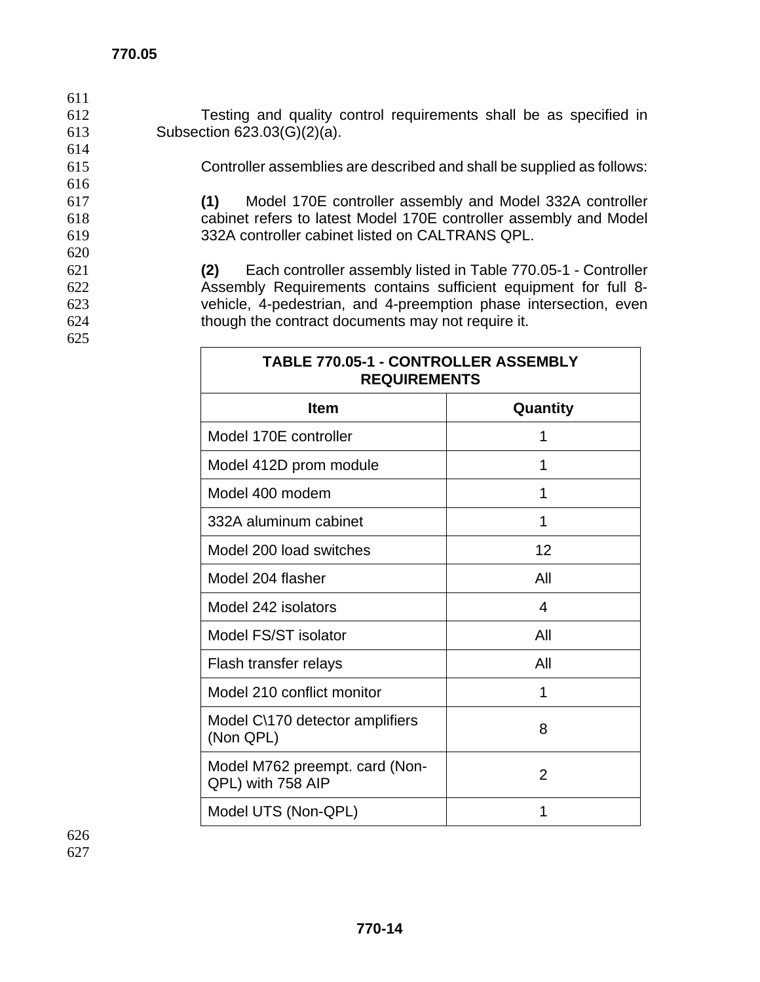620

625

- 612 Testing and quality control requirements shall be as specified in 613 Subsection 623.03(G)(2)(a).
- 614 615 Controller assemblies are described and shall be supplied as follows: 616 617 **(1)** Model 170E controller assembly and Model 332A controller 618 cabinet refers to latest Model 170E controller assembly and Model

619 332A controller cabinet listed on CALTRANS QPL.

**(2)** Each controller assembly listed in Table 770.05-1 - Controller Assembly Requirements contains sufficient equipment for full 8- vehicle, 4-pedestrian, and 4-preemption phase intersection, even though the contract documents may not require it.

**TABLE 770.05-1 - CONTROLLER ASSEMBLY** 

| <b>REQUIREMENTS</b>                                 |                |  |
|-----------------------------------------------------|----------------|--|
| <b>Item</b>                                         | Quantity       |  |
| Model 170E controller                               | 1              |  |
| Model 412D prom module                              | 1              |  |
| Model 400 modem                                     | 1              |  |
| 332A aluminum cabinet                               | 1              |  |
| Model 200 load switches                             | 12             |  |
| Model 204 flasher                                   | All            |  |
| Model 242 isolators                                 | 4              |  |
| Model FS/ST isolator                                | All            |  |
| Flash transfer relays                               | All            |  |
| Model 210 conflict monitor                          | 1              |  |
| Model C\170 detector amplifiers<br>(Non QPL)        | 8              |  |
| Model M762 preempt. card (Non-<br>QPL) with 758 AIP | $\overline{2}$ |  |
| Model UTS (Non-QPL)                                 | 1              |  |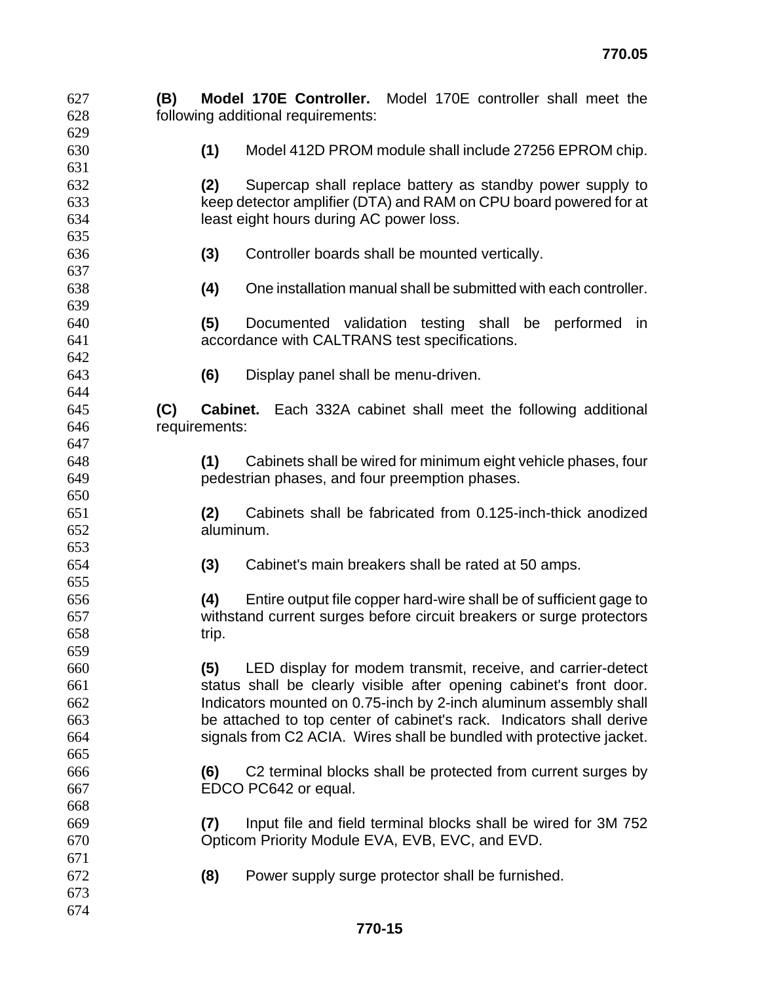| 627 | (B) |               | Model 170E Controller. Model 170E controller shall meet the          |
|-----|-----|---------------|----------------------------------------------------------------------|
| 628 |     |               | following additional requirements:                                   |
| 629 |     |               |                                                                      |
| 630 |     | (1)           | Model 412D PROM module shall include 27256 EPROM chip.               |
| 631 |     |               |                                                                      |
| 632 |     | (2)           | Supercap shall replace battery as standby power supply to            |
| 633 |     |               | keep detector amplifier (DTA) and RAM on CPU board powered for at    |
| 634 |     |               | least eight hours during AC power loss.                              |
| 635 |     |               |                                                                      |
| 636 |     | (3)           | Controller boards shall be mounted vertically.                       |
| 637 |     |               |                                                                      |
| 638 |     | (4)           | One installation manual shall be submitted with each controller.     |
| 639 |     |               |                                                                      |
| 640 |     | (5)           | Documented validation testing shall be performed<br>in.              |
| 641 |     |               | accordance with CALTRANS test specifications.                        |
| 642 |     |               |                                                                      |
| 643 |     | (6)           | Display panel shall be menu-driven.                                  |
| 644 |     |               |                                                                      |
| 645 | (C) | Cabinet.      | Each 332A cabinet shall meet the following additional                |
| 646 |     | requirements: |                                                                      |
| 647 |     |               |                                                                      |
| 648 |     | (1)           |                                                                      |
|     |     |               | Cabinets shall be wired for minimum eight vehicle phases, four       |
| 649 |     |               | pedestrian phases, and four preemption phases.                       |
| 650 |     |               |                                                                      |
| 651 |     | (2)           | Cabinets shall be fabricated from 0.125-inch-thick anodized          |
| 652 |     | aluminum.     |                                                                      |
| 653 |     |               |                                                                      |
| 654 |     | (3)           | Cabinet's main breakers shall be rated at 50 amps.                   |
| 655 |     |               |                                                                      |
| 656 |     | (4)           | Entire output file copper hard-wire shall be of sufficient gage to   |
| 657 |     |               | withstand current surges before circuit breakers or surge protectors |
| 658 |     | trip.         |                                                                      |
| 659 |     |               |                                                                      |
| 660 |     | (5)           | LED display for modem transmit, receive, and carrier-detect          |
| 661 |     |               | status shall be clearly visible after opening cabinet's front door.  |
| 662 |     |               | Indicators mounted on 0.75-inch by 2-inch aluminum assembly shall    |
| 663 |     |               | be attached to top center of cabinet's rack. Indicators shall derive |
| 664 |     |               | signals from C2 ACIA. Wires shall be bundled with protective jacket. |
| 665 |     |               |                                                                      |
| 666 |     | (6)           | C2 terminal blocks shall be protected from current surges by         |
| 667 |     |               | EDCO PC642 or equal.                                                 |
| 668 |     |               |                                                                      |
| 669 |     | (7)           | Input file and field terminal blocks shall be wired for 3M 752       |
| 670 |     |               | Opticom Priority Module EVA, EVB, EVC, and EVD.                      |
| 671 |     |               |                                                                      |
| 672 |     | (8)           | Power supply surge protector shall be furnished.                     |
| 673 |     |               |                                                                      |
| 674 |     |               |                                                                      |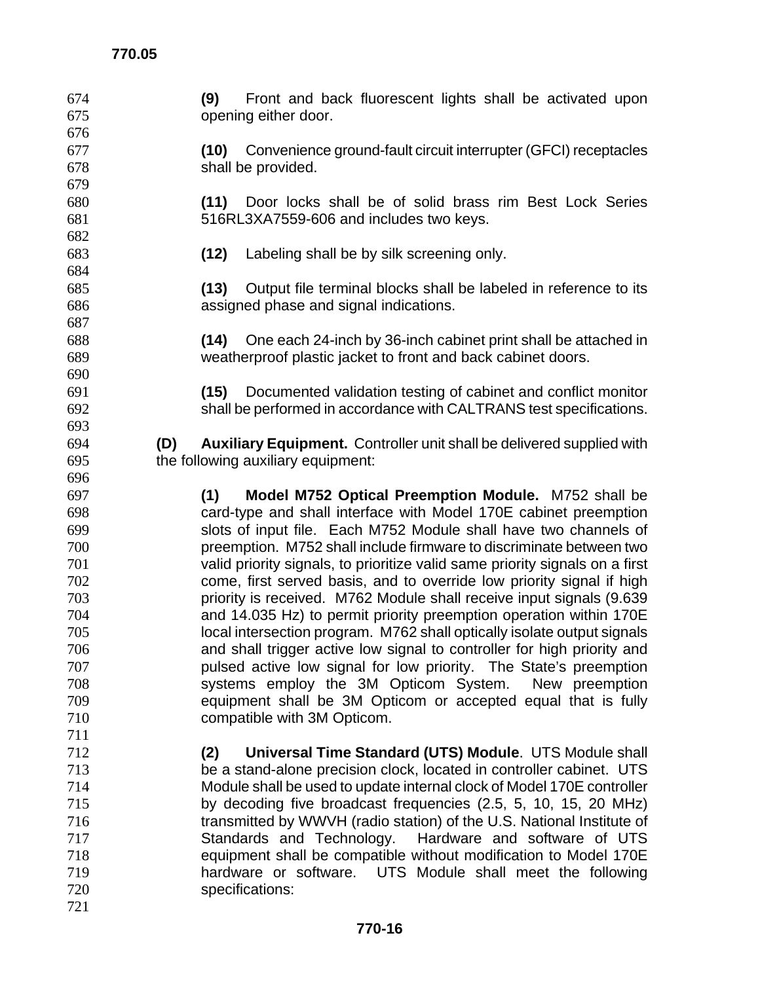| 674        | Front and back fluorescent lights shall be activated upon<br>(9)                    |  |  |
|------------|-------------------------------------------------------------------------------------|--|--|
| 675        | opening either door.                                                                |  |  |
| 676        |                                                                                     |  |  |
| 677        | (10) Convenience ground-fault circuit interrupter (GFCI) receptacles                |  |  |
| 678        | shall be provided.                                                                  |  |  |
| 679        |                                                                                     |  |  |
| 680        | Door locks shall be of solid brass rim Best Lock Series<br>(11)                     |  |  |
| 681        | 516RL3XA7559-606 and includes two keys.                                             |  |  |
| 682        |                                                                                     |  |  |
| 683        | Labeling shall be by silk screening only.<br>(12)                                   |  |  |
| 684        |                                                                                     |  |  |
| 685        | Output file terminal blocks shall be labeled in reference to its<br>(13)            |  |  |
| 686        | assigned phase and signal indications.                                              |  |  |
| 687        |                                                                                     |  |  |
| 688        | One each 24-inch by 36-inch cabinet print shall be attached in<br>(14)              |  |  |
| 689        | weatherproof plastic jacket to front and back cabinet doors.                        |  |  |
| 690        |                                                                                     |  |  |
| 691        | Documented validation testing of cabinet and conflict monitor<br>(15)               |  |  |
| 692        | shall be performed in accordance with CALTRANS test specifications.                 |  |  |
| 693        |                                                                                     |  |  |
| 694        | <b>Auxiliary Equipment.</b> Controller unit shall be delivered supplied with<br>(D) |  |  |
| 695        | the following auxiliary equipment:                                                  |  |  |
| 696        |                                                                                     |  |  |
|            |                                                                                     |  |  |
| 697<br>698 | Model M752 Optical Preemption Module. M752 shall be<br>(1)                          |  |  |
| 699        | card-type and shall interface with Model 170E cabinet preemption                    |  |  |
| 700        | slots of input file. Each M752 Module shall have two channels of                    |  |  |
|            | preemption. M752 shall include firmware to discriminate between two                 |  |  |
| 701        | valid priority signals, to prioritize valid same priority signals on a first        |  |  |
| 702        | come, first served basis, and to override low priority signal if high               |  |  |
| 703        | priority is received. M762 Module shall receive input signals (9.639                |  |  |
| 704        | and 14.035 Hz) to permit priority preemption operation within 170E                  |  |  |
| 705        | local intersection program. M762 shall optically isolate output signals             |  |  |
| 706        | and shall trigger active low signal to controller for high priority and             |  |  |
| 707        | pulsed active low signal for low priority. The State's preemption                   |  |  |
| 708        | systems employ the 3M Opticom System.<br>New preemption                             |  |  |
| 709        | equipment shall be 3M Opticom or accepted equal that is fully                       |  |  |
| 710        | compatible with 3M Opticom.                                                         |  |  |
| 711        |                                                                                     |  |  |
| 712        | Universal Time Standard (UTS) Module. UTS Module shall<br>(2)                       |  |  |
| 713        | be a stand-alone precision clock, located in controller cabinet. UTS                |  |  |
| 714        | Module shall be used to update internal clock of Model 170E controller              |  |  |
| 715        | by decoding five broadcast frequencies (2.5, 5, 10, 15, 20 MHz)                     |  |  |
| 716        | transmitted by WWVH (radio station) of the U.S. National Institute of               |  |  |
| 717        | Standards and Technology.<br>Hardware and software of UTS                           |  |  |
| 718        | equipment shall be compatible without modification to Model 170E                    |  |  |
| 719        | hardware or software. UTS Module shall meet the following                           |  |  |
| 720        | specifications:                                                                     |  |  |
| 721        |                                                                                     |  |  |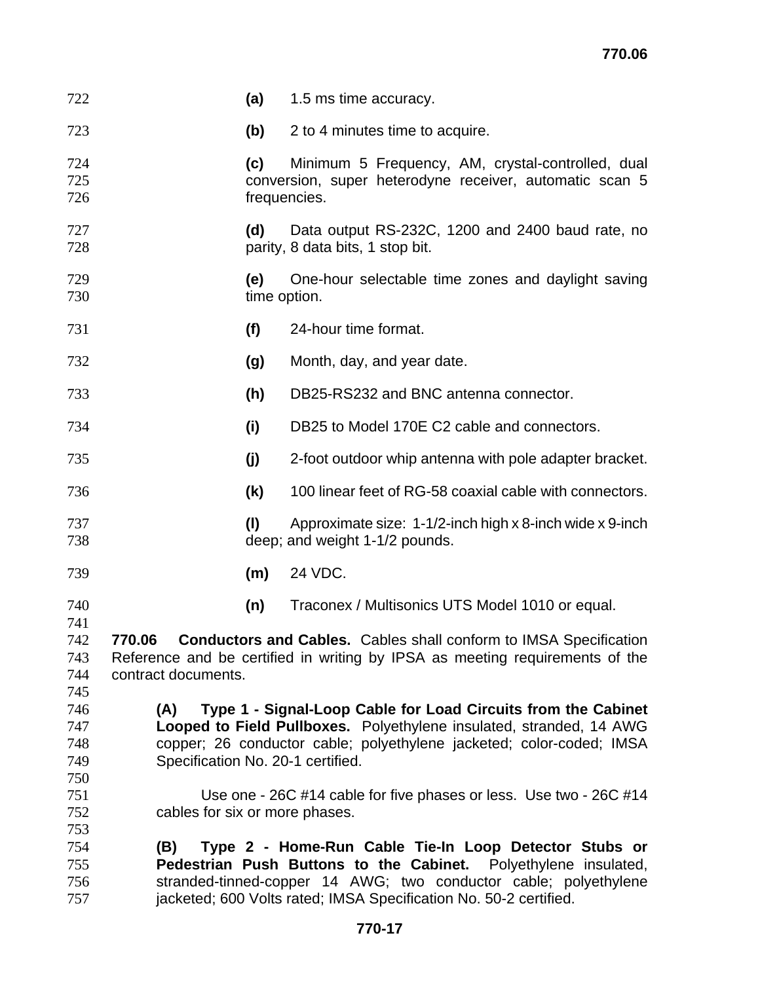| 722                                                                                                                                                                                                                | (a)                                                                                                                                                                                                                                                                      | 1.5 ms time accuracy.                                                                                                        |  |
|--------------------------------------------------------------------------------------------------------------------------------------------------------------------------------------------------------------------|--------------------------------------------------------------------------------------------------------------------------------------------------------------------------------------------------------------------------------------------------------------------------|------------------------------------------------------------------------------------------------------------------------------|--|
| 723                                                                                                                                                                                                                | (b)                                                                                                                                                                                                                                                                      | 2 to 4 minutes time to acquire.                                                                                              |  |
| 724<br>725<br>726                                                                                                                                                                                                  | (c)                                                                                                                                                                                                                                                                      | Minimum 5 Frequency, AM, crystal-controlled, dual<br>conversion, super heterodyne receiver, automatic scan 5<br>frequencies. |  |
| 727<br>728                                                                                                                                                                                                         | (d)                                                                                                                                                                                                                                                                      | Data output RS-232C, 1200 and 2400 baud rate, no<br>parity, 8 data bits, 1 stop bit.                                         |  |
| 729<br>730                                                                                                                                                                                                         | (e)                                                                                                                                                                                                                                                                      | One-hour selectable time zones and daylight saving<br>time option.                                                           |  |
| 731                                                                                                                                                                                                                | (f)                                                                                                                                                                                                                                                                      | 24-hour time format.                                                                                                         |  |
| 732                                                                                                                                                                                                                | (g)                                                                                                                                                                                                                                                                      | Month, day, and year date.                                                                                                   |  |
| 733                                                                                                                                                                                                                | (h)                                                                                                                                                                                                                                                                      | DB25-RS232 and BNC antenna connector.                                                                                        |  |
| 734                                                                                                                                                                                                                | (i)                                                                                                                                                                                                                                                                      | DB25 to Model 170E C2 cable and connectors.                                                                                  |  |
| 735                                                                                                                                                                                                                | (j)                                                                                                                                                                                                                                                                      | 2-foot outdoor whip antenna with pole adapter bracket.                                                                       |  |
| 736                                                                                                                                                                                                                | (k)                                                                                                                                                                                                                                                                      | 100 linear feet of RG-58 coaxial cable with connectors.                                                                      |  |
| 737<br>738                                                                                                                                                                                                         | (1)                                                                                                                                                                                                                                                                      | Approximate size: 1-1/2-inch high x 8-inch wide x 9-inch<br>deep; and weight 1-1/2 pounds.                                   |  |
| 739                                                                                                                                                                                                                | (m)                                                                                                                                                                                                                                                                      | 24 VDC.                                                                                                                      |  |
| 740                                                                                                                                                                                                                | (n)                                                                                                                                                                                                                                                                      | Traconex / Multisonics UTS Model 1010 or equal.                                                                              |  |
| 741<br>742<br>770.06 Conductors and Cables. Cables shall conform to IMSA Specification<br>Reference and be certified in writing by IPSA as meeting requirements of the<br>743<br>contract documents.<br>744<br>745 |                                                                                                                                                                                                                                                                          |                                                                                                                              |  |
| 746<br>747<br>748<br>749<br>750                                                                                                                                                                                    | Type 1 - Signal-Loop Cable for Load Circuits from the Cabinet<br>(A)<br>Looped to Field Pullboxes. Polyethylene insulated, stranded, 14 AWG<br>copper; 26 conductor cable; polyethylene jacketed; color-coded; IMSA<br>Specification No. 20-1 certified.                 |                                                                                                                              |  |
| 751<br>752<br>753                                                                                                                                                                                                  | Use one - 26C #14 cable for five phases or less. Use two - 26C #14<br>cables for six or more phases.                                                                                                                                                                     |                                                                                                                              |  |
| 754<br>755<br>756<br>757                                                                                                                                                                                           | Type 2 - Home-Run Cable Tie-In Loop Detector Stubs or<br>(B)<br>Pedestrian Push Buttons to the Cabinet. Polyethylene insulated,<br>stranded-tinned-copper 14 AWG; two conductor cable; polyethylene<br>jacketed; 600 Volts rated; IMSA Specification No. 50-2 certified. |                                                                                                                              |  |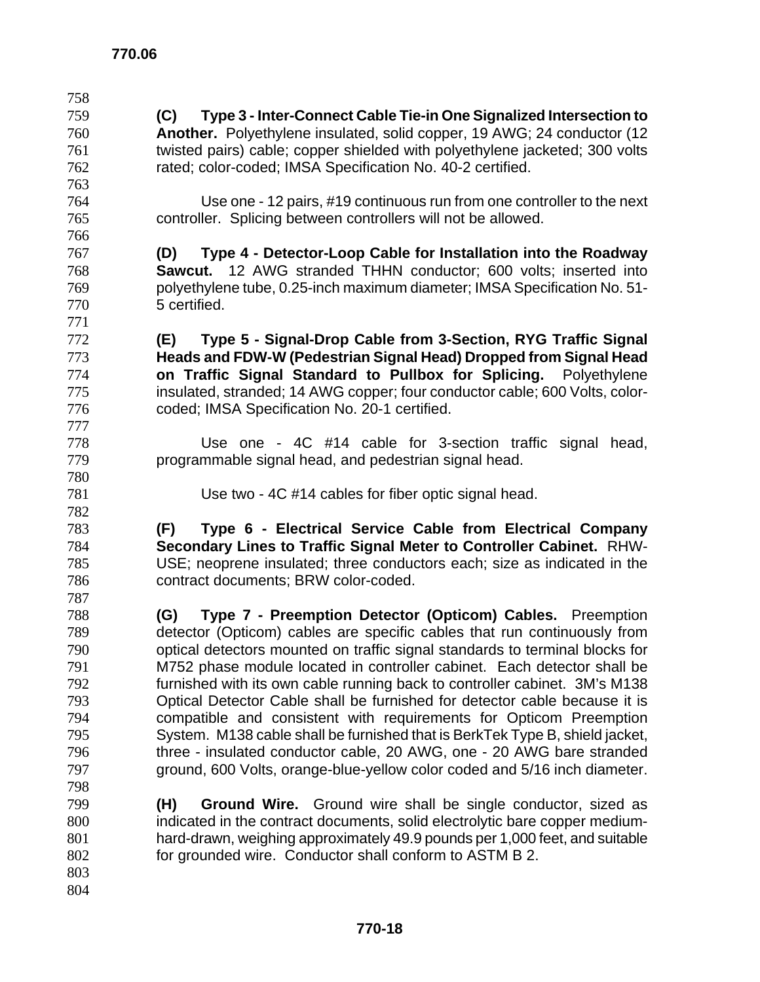| 758 |                                                                              |
|-----|------------------------------------------------------------------------------|
| 759 | Type 3 - Inter-Connect Cable Tie-in One Signalized Intersection to<br>(C)    |
| 760 | Another. Polyethylene insulated, solid copper, 19 AWG; 24 conductor (12      |
| 761 | twisted pairs) cable; copper shielded with polyethylene jacketed; 300 volts  |
| 762 | rated; color-coded; IMSA Specification No. 40-2 certified.                   |
| 763 |                                                                              |
| 764 | Use one - 12 pairs, #19 continuous run from one controller to the next       |
| 765 | controller. Splicing between controllers will not be allowed.                |
| 766 |                                                                              |
| 767 | Type 4 - Detector-Loop Cable for Installation into the Roadway<br>(D)        |
| 768 | <b>Sawcut.</b> 12 AWG stranded THHN conductor; 600 volts; inserted into      |
| 769 | polyethylene tube, 0.25-inch maximum diameter; IMSA Specification No. 51-    |
| 770 | 5 certified.                                                                 |
| 771 |                                                                              |
| 772 | Type 5 - Signal-Drop Cable from 3-Section, RYG Traffic Signal<br>(E)         |
| 773 | Heads and FDW-W (Pedestrian Signal Head) Dropped from Signal Head            |
| 774 | on Traffic Signal Standard to Pullbox for Splicing. Polyethylene             |
| 775 | insulated, stranded; 14 AWG copper; four conductor cable; 600 Volts, color-  |
| 776 | coded; IMSA Specification No. 20-1 certified.                                |
| 777 |                                                                              |
| 778 | Use one - 4C #14 cable for 3-section traffic signal head,                    |
| 779 | programmable signal head, and pedestrian signal head.                        |
| 780 |                                                                              |
| 781 | Use two - 4C #14 cables for fiber optic signal head.                         |
| 782 |                                                                              |
| 783 | Type 6 - Electrical Service Cable from Electrical Company<br>(F)             |
| 784 | Secondary Lines to Traffic Signal Meter to Controller Cabinet. RHW-          |
| 785 | USE; neoprene insulated; three conductors each; size as indicated in the     |
| 786 | contract documents; BRW color-coded.                                         |
| 787 |                                                                              |
| 788 | Type 7 - Preemption Detector (Opticom) Cables. Preemption<br>(G)             |
| 789 | detector (Opticom) cables are specific cables that run continuously from     |
| 790 | optical detectors mounted on traffic signal standards to terminal blocks for |
| 791 | M752 phase module located in controller cabinet. Each detector shall be      |
| 792 | furnished with its own cable running back to controller cabinet. 3M's M138   |
| 793 | Optical Detector Cable shall be furnished for detector cable because it is   |
| 794 | compatible and consistent with requirements for Opticom Preemption           |
| 795 | System. M138 cable shall be furnished that is BerkTek Type B, shield jacket, |
| 796 | three - insulated conductor cable, 20 AWG, one - 20 AWG bare stranded        |
| 797 | ground, 600 Volts, orange-blue-yellow color coded and 5/16 inch diameter.    |
| 798 |                                                                              |
| 799 | <b>Ground Wire.</b> Ground wire shall be single conductor, sized as<br>(H)   |
| 800 | indicated in the contract documents, solid electrolytic bare copper medium-  |
| 801 | hard-drawn, weighing approximately 49.9 pounds per 1,000 feet, and suitable  |
| 802 | for grounded wire. Conductor shall conform to ASTM B 2.                      |
| 803 |                                                                              |
| 804 |                                                                              |
|     |                                                                              |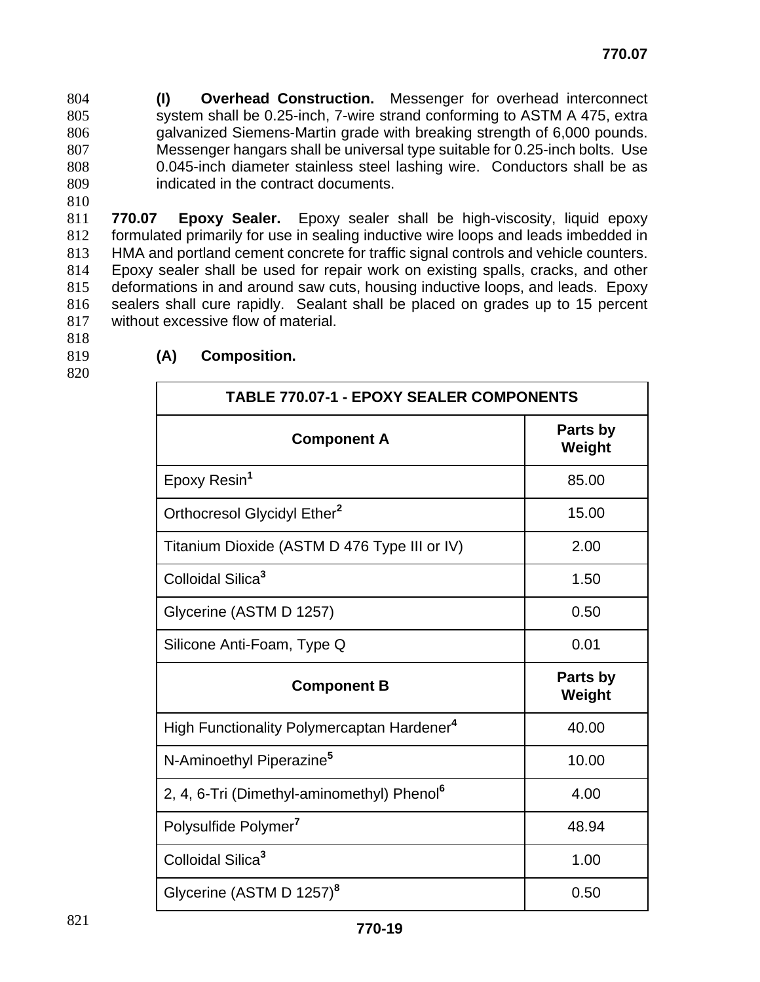**(I) Overhead Construction.** Messenger for overhead interconnect system shall be 0.25-inch, 7-wire strand conforming to ASTM A 475, extra galvanized Siemens-Martin grade with breaking strength of 6,000 pounds. Messenger hangars shall be universal type suitable for 0.25-inch bolts. Use 0.045-inch diameter stainless steel lashing wire. Conductors shall be as indicated in the contract documents.

810

**770.07 Epoxy Sealer.** Epoxy sealer shall be high-viscosity, liquid epoxy formulated primarily for use in sealing inductive wire loops and leads imbedded in HMA and portland cement concrete for traffic signal controls and vehicle counters. Epoxy sealer shall be used for repair work on existing spalls, cracks, and other deformations in and around saw cuts, housing inductive loops, and leads. Epoxy sealers shall cure rapidly. Sealant shall be placed on grades up to 15 percent without excessive flow of material.

- 818
- 
- 820

| 819 | (A) | <b>Composition.</b> |
|-----|-----|---------------------|
|     |     |                     |

| <b>TABLE 770.07-1 - EPOXY SEALER COMPONENTS</b>        |                    |  |
|--------------------------------------------------------|--------------------|--|
| <b>Component A</b>                                     | Parts by<br>Weight |  |
| Epoxy Resin <sup>1</sup>                               | 85.00              |  |
| Orthocresol Glycidyl Ether <sup>2</sup>                | 15.00              |  |
| Titanium Dioxide (ASTM D 476 Type III or IV)           | 2.00               |  |
| Colloidal Silica <sup>3</sup>                          | 1.50               |  |
| Glycerine (ASTM D 1257)                                | 0.50               |  |
| Silicone Anti-Foam, Type Q                             | 0.01               |  |
| <b>Component B</b>                                     | Parts by<br>Weight |  |
| High Functionality Polymercaptan Hardener <sup>4</sup> | 40.00              |  |
| N-Aminoethyl Piperazine <sup>5</sup>                   | 10.00              |  |
| 2, 4, 6-Tri (Dimethyl-aminomethyl) Phenol <sup>6</sup> | 4.00               |  |
| Polysulfide Polymer'                                   | 48.94              |  |
| Colloidal Silica <sup>3</sup>                          | 1.00               |  |
| Glycerine (ASTM D 1257) <sup>8</sup>                   | 0.50               |  |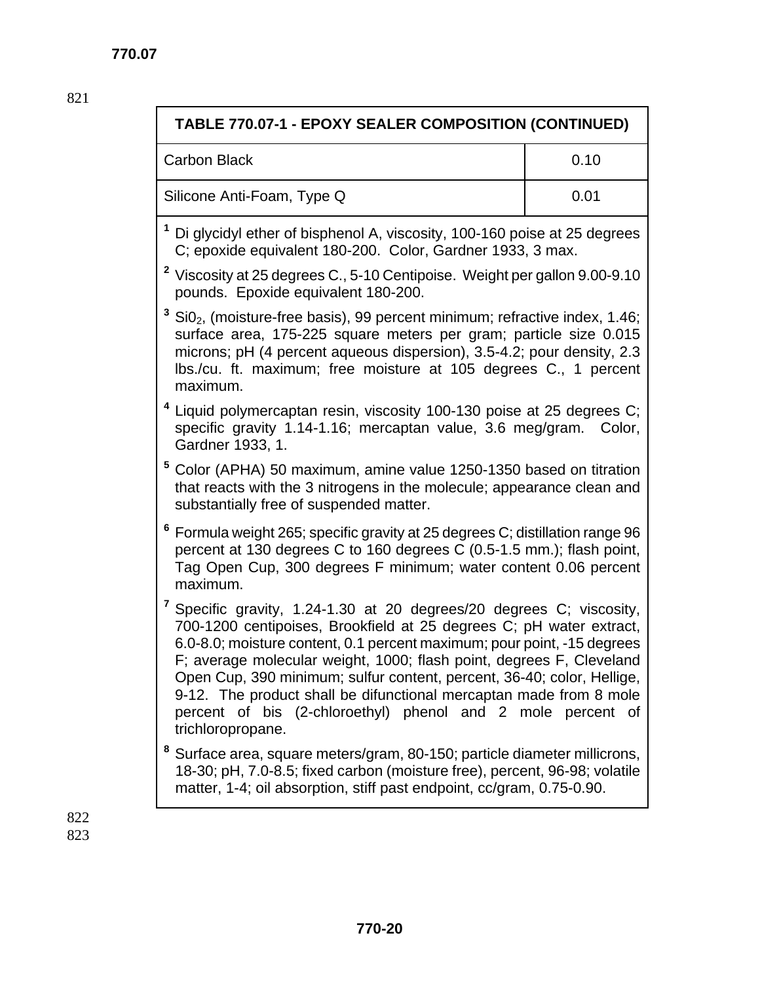| TABLE 770.07-1 - EPOXY SEALER COMPOSITION (CONTINUED)                                                                                                                                                                                                                                                                                                                                                                                                                                                                                         |      |  |
|-----------------------------------------------------------------------------------------------------------------------------------------------------------------------------------------------------------------------------------------------------------------------------------------------------------------------------------------------------------------------------------------------------------------------------------------------------------------------------------------------------------------------------------------------|------|--|
| <b>Carbon Black</b>                                                                                                                                                                                                                                                                                                                                                                                                                                                                                                                           | 0.10 |  |
| Silicone Anti-Foam, Type Q                                                                                                                                                                                                                                                                                                                                                                                                                                                                                                                    | 0.01 |  |
| <sup>1</sup> Di glycidyl ether of bisphenol A, viscosity, 100-160 poise at 25 degrees<br>C; epoxide equivalent 180-200. Color, Gardner 1933, 3 max.                                                                                                                                                                                                                                                                                                                                                                                           |      |  |
| <sup>2</sup> Viscosity at 25 degrees C., 5-10 Centipoise. Weight per gallon 9.00-9.10<br>pounds. Epoxide equivalent 180-200.                                                                                                                                                                                                                                                                                                                                                                                                                  |      |  |
| $3$ Si0 <sub>2</sub> , (moisture-free basis), 99 percent minimum; refractive index, 1.46;<br>surface area, 175-225 square meters per gram; particle size 0.015<br>microns; pH (4 percent aqueous dispersion), 3.5-4.2; pour density, 2.3<br>Ibs./cu. ft. maximum; free moisture at 105 degrees C., 1 percent<br>maximum.                                                                                                                                                                                                                      |      |  |
| <sup>4</sup> Liquid polymercaptan resin, viscosity 100-130 poise at 25 degrees C;<br>specific gravity 1.14-1.16; mercaptan value, 3.6 meg/gram. Color,<br>Gardner 1933, 1.                                                                                                                                                                                                                                                                                                                                                                    |      |  |
| 5<br>Color (APHA) 50 maximum, amine value 1250-1350 based on titration<br>that reacts with the 3 nitrogens in the molecule; appearance clean and<br>substantially free of suspended matter.                                                                                                                                                                                                                                                                                                                                                   |      |  |
| 6<br>Formula weight 265; specific gravity at 25 degrees C; distillation range 96<br>percent at 130 degrees C to 160 degrees C (0.5-1.5 mm.); flash point,<br>Tag Open Cup, 300 degrees F minimum; water content 0.06 percent<br>maximum.                                                                                                                                                                                                                                                                                                      |      |  |
| <sup>7</sup> Specific gravity, 1.24-1.30 at 20 degrees/20 degrees C; viscosity,<br>700-1200 centipoises, Brookfield at 25 degrees C; pH water extract,<br>6.0-8.0; moisture content, 0.1 percent maximum; pour point, -15 degrees<br>F; average molecular weight, 1000; flash point, degrees F, Cleveland<br>Open Cup, 390 minimum; sulfur content, percent, 36-40; color, Hellige,<br>9-12. The product shall be difunctional mercaptan made from 8 mole<br>percent of bis (2-chloroethyl) phenol and 2 mole percent of<br>trichloropropane. |      |  |
| 8<br>Surface area, square meters/gram, 80-150; particle diameter millicrons,<br>18-30; pH, 7.0-8.5; fixed carbon (moisture free), percent, 96-98; volatile<br>matter, 1-4; oil absorption, stiff past endpoint, cc/gram, 0.75-0.90.                                                                                                                                                                                                                                                                                                           |      |  |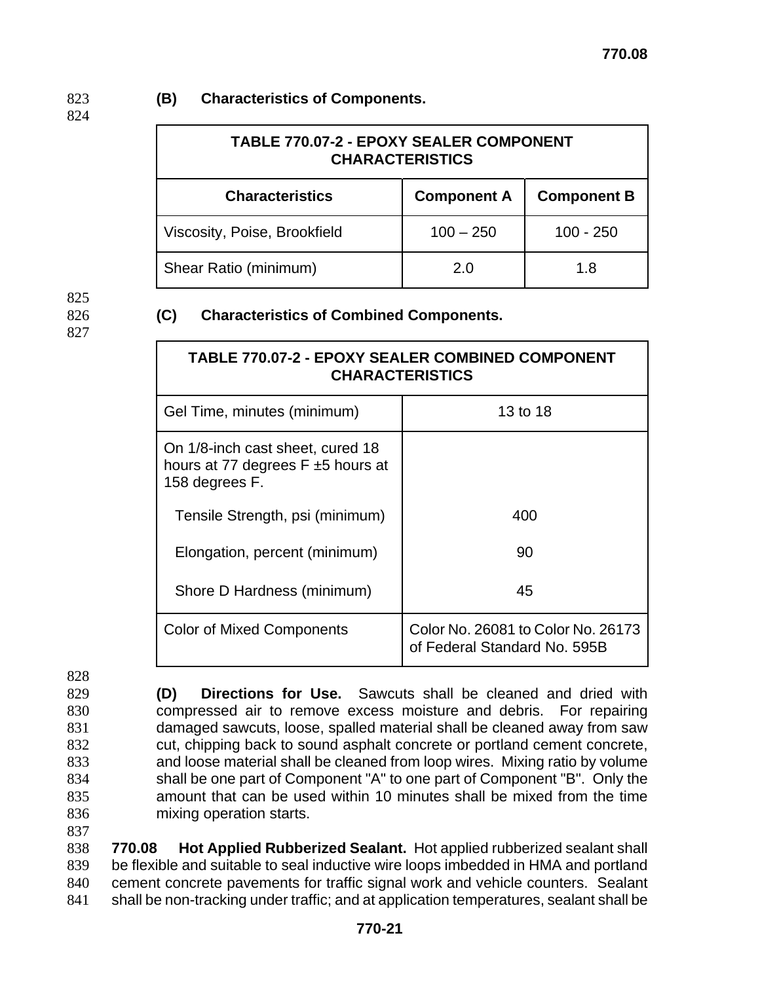### 823 **(B) Characteristics of Components.**

824

| TABLE 770.07-2 - EPOXY SEALER COMPONENT<br><b>CHARACTERISTICS</b> |                    |                    |  |  |
|-------------------------------------------------------------------|--------------------|--------------------|--|--|
| <b>Characteristics</b>                                            | <b>Component A</b> | <b>Component B</b> |  |  |
| Viscosity, Poise, Brookfield                                      | $100 - 250$        | $100 - 250$        |  |  |
| Shear Ratio (minimum)                                             | 2.0                | 1.8                |  |  |

825 827

### 826 **(C) Characteristics of Combined Components.**

| <b>TABLE 770.07-2 - EPOXY SEALER COMBINED COMPONENT</b><br><b>CHARACTERISTICS</b>            |                                                                    |  |  |  |
|----------------------------------------------------------------------------------------------|--------------------------------------------------------------------|--|--|--|
| Gel Time, minutes (minimum)                                                                  | 13 to 18                                                           |  |  |  |
| On 1/8-inch cast sheet, cured 18<br>hours at 77 degrees $F \pm 5$ hours at<br>158 degrees F. |                                                                    |  |  |  |
| Tensile Strength, psi (minimum)                                                              | 400                                                                |  |  |  |
| Elongation, percent (minimum)                                                                | 90                                                                 |  |  |  |
| Shore D Hardness (minimum)                                                                   | 45                                                                 |  |  |  |
| <b>Color of Mixed Components</b>                                                             | Color No. 26081 to Color No. 26173<br>of Federal Standard No. 595B |  |  |  |

828

**(D) Directions for Use.** Sawcuts shall be cleaned and dried with compressed air to remove excess moisture and debris. For repairing damaged sawcuts, loose, spalled material shall be cleaned away from saw cut, chipping back to sound asphalt concrete or portland cement concrete, and loose material shall be cleaned from loop wires. Mixing ratio by volume shall be one part of Component "A" to one part of Component "B". Only the amount that can be used within 10 minutes shall be mixed from the time mixing operation starts.

837 **770.07** 

**770.08 Hot Applied Rubberized Sealant.** Hot applied rubberized sealant shall be flexible and suitable to seal inductive wire loops imbedded in HMA and portland cement concrete pavements for traffic signal work and vehicle counters. Sealant 841 shall be non-tracking under traffic; and at application temperatures, sealant shall be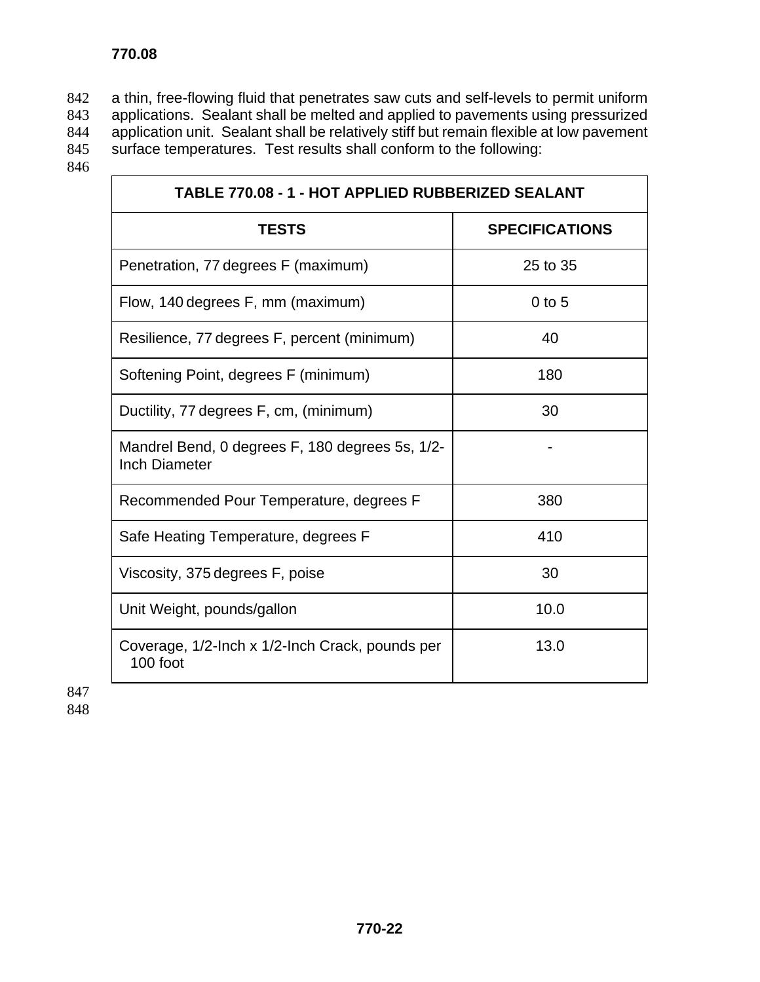a thin, free-flowing fluid that penetrates saw cuts and self-levels to permit uniform applications. Sealant shall be melted and applied to pavements using pressurized application unit. Sealant shall be relatively stiff but remain flexible at low pavement surface temperatures. Test results shall conform to the following:

846

| TABLE 770.08 - 1 - HOT APPLIED RUBBERIZED SEALANT                       |                       |  |  |
|-------------------------------------------------------------------------|-----------------------|--|--|
| <b>TESTS</b>                                                            | <b>SPECIFICATIONS</b> |  |  |
| Penetration, 77 degrees F (maximum)                                     | 25 to 35              |  |  |
| Flow, 140 degrees F, mm (maximum)                                       | $0$ to 5              |  |  |
| Resilience, 77 degrees F, percent (minimum)                             | 40                    |  |  |
| Softening Point, degrees F (minimum)                                    | 180                   |  |  |
| Ductility, 77 degrees F, cm, (minimum)                                  | 30                    |  |  |
| Mandrel Bend, 0 degrees F, 180 degrees 5s, 1/2-<br><b>Inch Diameter</b> |                       |  |  |
| Recommended Pour Temperature, degrees F                                 | 380                   |  |  |
| Safe Heating Temperature, degrees F                                     | 410                   |  |  |
| Viscosity, 375 degrees F, poise                                         | 30                    |  |  |
| Unit Weight, pounds/gallon                                              | 10.0                  |  |  |
| Coverage, 1/2-Inch x 1/2-Inch Crack, pounds per<br>100 foot             | 13.0                  |  |  |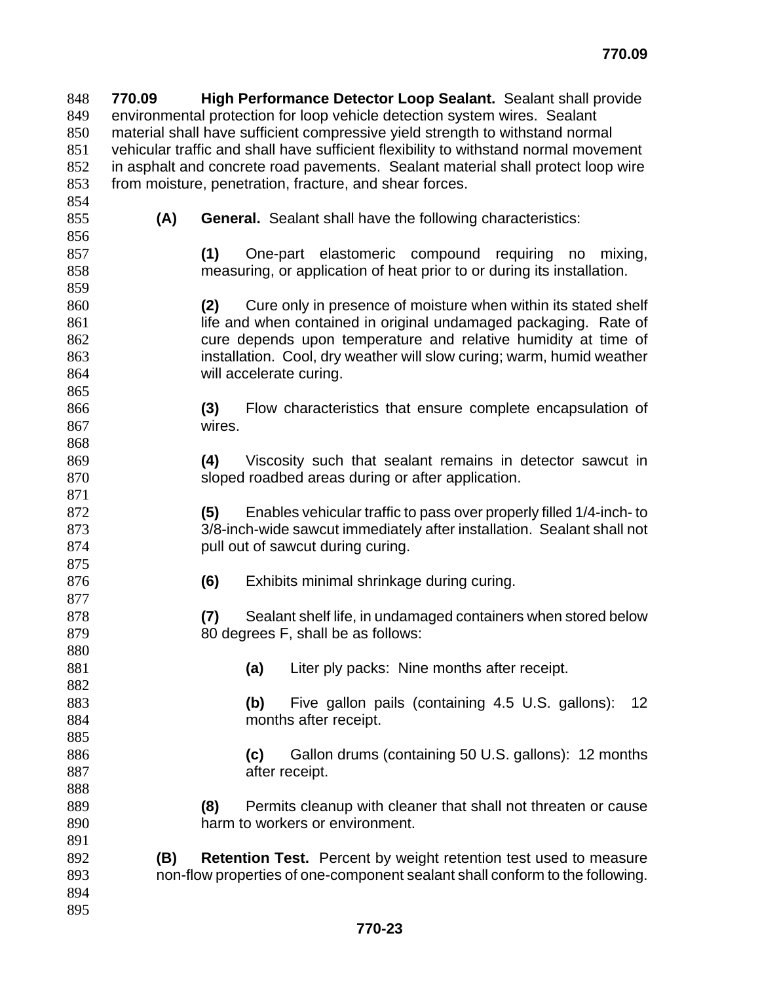**770.09 High Performance Detector Loop Sealant.** Sealant shall provide environmental protection for loop vehicle detection system wires. Sealant material shall have sufficient compressive yield strength to withstand normal vehicular traffic and shall have sufficient flexibility to withstand normal movement in asphalt and concrete road pavements. Sealant material shall protect loop wire from moisture, penetration, fracture, and shear forces. **(A) General.** Sealant shall have the following characteristics:

**(1)** One-part elastomeric compound requiring no mixing, measuring, or application of heat prior to or during its installation.

- **(2)** Cure only in presence of moisture when within its stated shelf 861 life and when contained in original undamaged packaging. Rate of cure depends upon temperature and relative humidity at time of installation. Cool, dry weather will slow curing; warm, humid weather will accelerate curing.
- **(3)** Flow characteristics that ensure complete encapsulation of wires.
- **(4)** Viscosity such that sealant remains in detector sawcut in sloped roadbed areas during or after application.
- **(5)** Enables vehicular traffic to pass over properly filled 1/4-inch- to 3/8-inch-wide sawcut immediately after installation. Sealant shall not **pull out of sawcut during curing.**
- **(6)** Exhibits minimal shrinkage during curing.
- **(7)** Sealant shelf life, in undamaged containers when stored below 879 80 degrees F, shall be as follows:
- **(a)** Liter ply packs: Nine months after receipt.

**(b)** Five gallon pails (containing 4.5 U.S. gallons): 12 months after receipt.

**(c)** Gallon drums (containing 50 U.S. gallons): 12 months **after receipt.** 

- **(8)** Permits cleanup with cleaner that shall not threaten or cause harm to workers or environment.
- **(B) Retention Test.** Percent by weight retention test used to measure non-flow properties of one-component sealant shall conform to the following.
-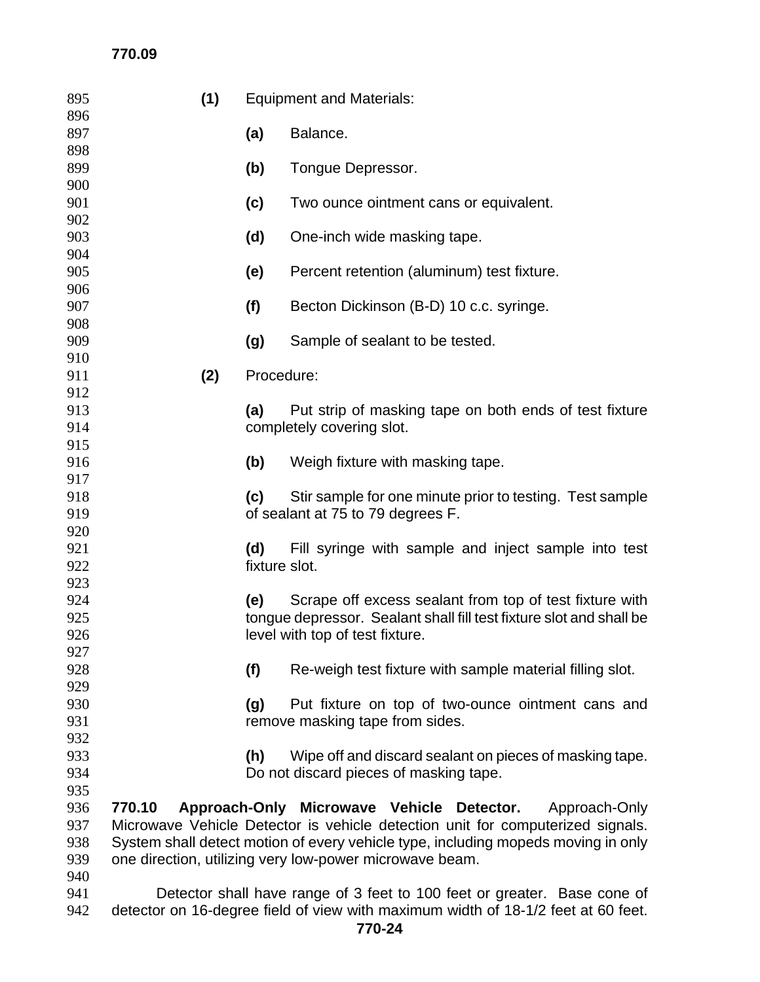## **770.09**

| 895        | (1)                                                                               | <b>Equipment and Materials:</b> |                                                                                      |  |
|------------|-----------------------------------------------------------------------------------|---------------------------------|--------------------------------------------------------------------------------------|--|
| 896        |                                                                                   |                                 |                                                                                      |  |
| 897        |                                                                                   | (a)                             | Balance.                                                                             |  |
| 898<br>899 |                                                                                   | (b)                             | Tongue Depressor.                                                                    |  |
| 900        |                                                                                   |                                 |                                                                                      |  |
| 901        |                                                                                   | (c)                             | Two ounce ointment cans or equivalent.                                               |  |
| 902        |                                                                                   |                                 |                                                                                      |  |
| 903        |                                                                                   | (d)                             | One-inch wide masking tape.                                                          |  |
| 904        |                                                                                   |                                 |                                                                                      |  |
| 905        |                                                                                   | (e)                             | Percent retention (aluminum) test fixture.                                           |  |
| 906        |                                                                                   |                                 |                                                                                      |  |
| 907        |                                                                                   | (f)                             | Becton Dickinson (B-D) 10 c.c. syringe.                                              |  |
| 908        |                                                                                   |                                 |                                                                                      |  |
| 909<br>910 |                                                                                   | (g)                             | Sample of sealant to be tested.                                                      |  |
| 911        | (2)                                                                               | Procedure:                      |                                                                                      |  |
| 912        |                                                                                   |                                 |                                                                                      |  |
| 913        |                                                                                   | (a)                             | Put strip of masking tape on both ends of test fixture                               |  |
| 914        |                                                                                   | completely covering slot.       |                                                                                      |  |
| 915        |                                                                                   |                                 |                                                                                      |  |
| 916        |                                                                                   | (b)                             | Weigh fixture with masking tape.                                                     |  |
| 917        |                                                                                   |                                 |                                                                                      |  |
| 918        |                                                                                   | (c)                             | Stir sample for one minute prior to testing. Test sample                             |  |
| 919<br>920 |                                                                                   |                                 | of sealant at 75 to 79 degrees F.                                                    |  |
| 921        |                                                                                   | (d)                             | Fill syringe with sample and inject sample into test                                 |  |
| 922        |                                                                                   | fixture slot.                   |                                                                                      |  |
| 923        |                                                                                   |                                 |                                                                                      |  |
| 924        |                                                                                   | (e)                             | Scrape off excess sealant from top of test fixture with                              |  |
| 925        |                                                                                   |                                 | tongue depressor. Sealant shall fill test fixture slot and shall be                  |  |
| 926        |                                                                                   | level with top of test fixture. |                                                                                      |  |
| 927        |                                                                                   |                                 |                                                                                      |  |
| 928        |                                                                                   | (f)                             | Re-weigh test fixture with sample material filling slot.                             |  |
| 929        |                                                                                   |                                 |                                                                                      |  |
| 930<br>931 |                                                                                   | (g)                             | Put fixture on top of two-ounce ointment cans and<br>remove masking tape from sides. |  |
| 932        |                                                                                   |                                 |                                                                                      |  |
| 933        |                                                                                   | (h)                             | Wipe off and discard sealant on pieces of masking tape.                              |  |
| 934        |                                                                                   |                                 | Do not discard pieces of masking tape.                                               |  |
| 935        |                                                                                   |                                 |                                                                                      |  |
| 936        | 770.10                                                                            |                                 | Approach-Only Microwave Vehicle Detector.<br>Approach-Only                           |  |
| 937        |                                                                                   |                                 | Microwave Vehicle Detector is vehicle detection unit for computerized signals.       |  |
| 938        | System shall detect motion of every vehicle type, including mopeds moving in only |                                 |                                                                                      |  |
| 939        | one direction, utilizing very low-power microwave beam.                           |                                 |                                                                                      |  |
| 940        |                                                                                   |                                 |                                                                                      |  |
| 941        |                                                                                   |                                 | Detector shall have range of 3 feet to 100 feet or greater. Base cone of             |  |

detector on 16-degree field of view with maximum width of 18-1/2 feet at 60 feet.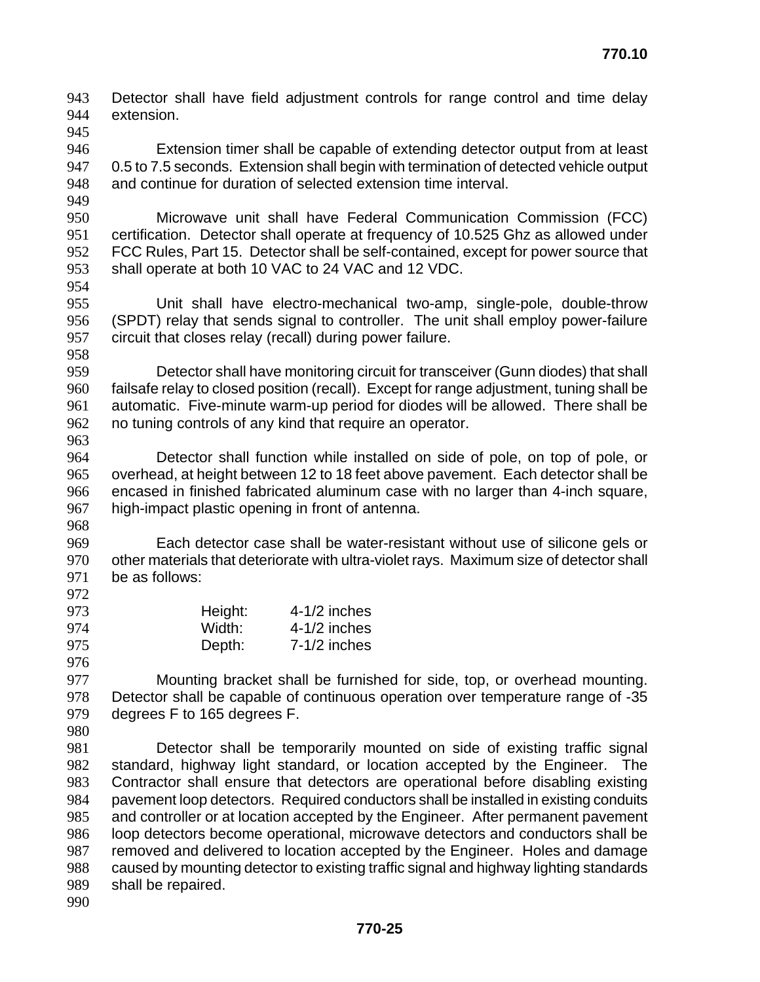Detector shall have field adjustment controls for range control and time delay extension. 

Extension timer shall be capable of extending detector output from at least 0.5 to 7.5 seconds. Extension shall begin with termination of detected vehicle output and continue for duration of selected extension time interval.

Microwave unit shall have Federal Communication Commission (FCC) certification. Detector shall operate at frequency of 10.525 Ghz as allowed under FCC Rules, Part 15. Detector shall be self-contained, except for power source that shall operate at both 10 VAC to 24 VAC and 12 VDC.

Unit shall have electro-mechanical two-amp, single-pole, double-throw (SPDT) relay that sends signal to controller. The unit shall employ power-failure circuit that closes relay (recall) during power failure. 

Detector shall have monitoring circuit for transceiver (Gunn diodes) that shall failsafe relay to closed position (recall). Except for range adjustment, tuning shall be automatic. Five-minute warm-up period for diodes will be allowed. There shall be no tuning controls of any kind that require an operator. 

Detector shall function while installed on side of pole, on top of pole, or overhead, at height between 12 to 18 feet above pavement. Each detector shall be encased in finished fabricated aluminum case with no larger than 4-inch square, high-impact plastic opening in front of antenna.

Each detector case shall be water-resistant without use of silicone gels or other materials that deteriorate with ultra-violet rays. Maximum size of detector shall be as follows:

| 973 | Height: | $4-1/2$ inches |
|-----|---------|----------------|
| 974 | Width:  | $4-1/2$ inches |
| 975 | Depth:  | $7-1/2$ inches |
| 976 |         |                |

Mounting bracket shall be furnished for side, top, or overhead mounting. Detector shall be capable of continuous operation over temperature range of -35 degrees F to 165 degrees F.

Detector shall be temporarily mounted on side of existing traffic signal standard, highway light standard, or location accepted by the Engineer. The Contractor shall ensure that detectors are operational before disabling existing pavement loop detectors. Required conductors shall be installed in existing conduits and controller or at location accepted by the Engineer. After permanent pavement loop detectors become operational, microwave detectors and conductors shall be removed and delivered to location accepted by the Engineer. Holes and damage caused by mounting detector to existing traffic signal and highway lighting standards shall be repaired.